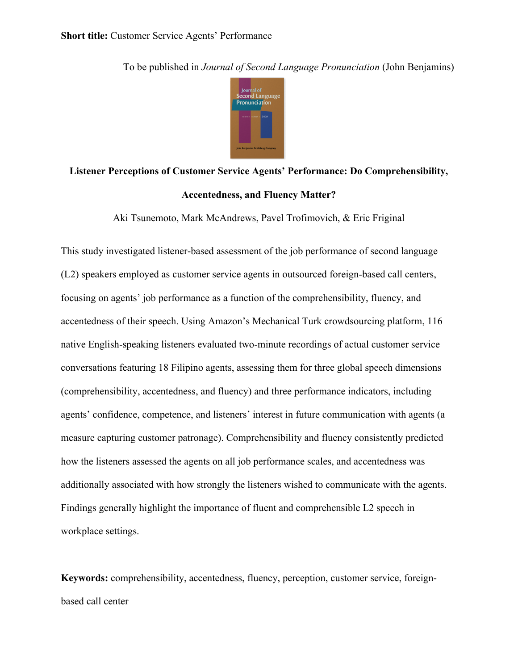To be published in *Journal of Second Language Pronunciation* (John Benjamins)

# **Listener Perceptions of Customer Service Agents' Performance: Do Comprehensibility, Accentedness, and Fluency Matter?**

Aki Tsunemoto, Mark McAndrews, Pavel Trofimovich, & Eric Friginal

This study investigated listener-based assessment of the job performance of second language (L2) speakers employed as customer service agents in outsourced foreign-based call centers, focusing on agents' job performance as a function of the comprehensibility, fluency, and accentedness of their speech. Using Amazon's Mechanical Turk crowdsourcing platform, 116 native English-speaking listeners evaluated two-minute recordings of actual customer service conversations featuring 18 Filipino agents, assessing them for three global speech dimensions (comprehensibility, accentedness, and fluency) and three performance indicators, including agents' confidence, competence, and listeners' interest in future communication with agents (a measure capturing customer patronage). Comprehensibility and fluency consistently predicted how the listeners assessed the agents on all job performance scales, and accentedness was additionally associated with how strongly the listeners wished to communicate with the agents. Findings generally highlight the importance of fluent and comprehensible L2 speech in workplace settings.

**Keywords:** comprehensibility, accentedness, fluency, perception, customer service, foreignbased call center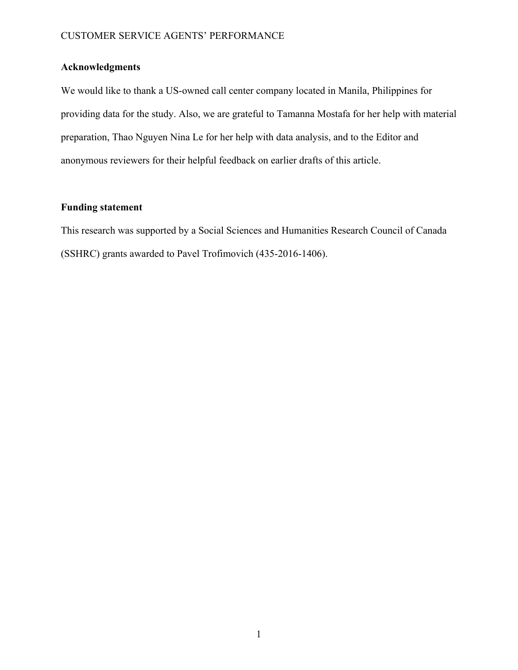# **Acknowledgments**

We would like to thank a US-owned call center company located in Manila, Philippines for providing data for the study. Also, we are grateful to Tamanna Mostafa for her help with material preparation, Thao Nguyen Nina Le for her help with data analysis, and to the Editor and anonymous reviewers for their helpful feedback on earlier drafts of this article.

# **Funding statement**

This research was supported by a Social Sciences and Humanities Research Council of Canada (SSHRC) grants awarded to Pavel Trofimovich (435-2016-1406).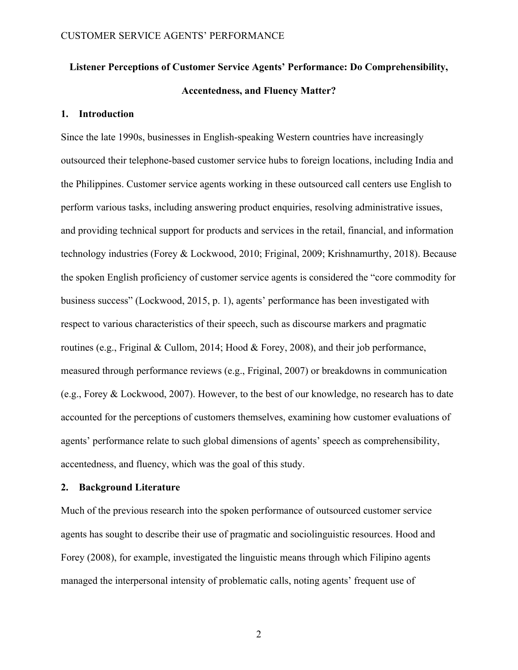# **Listener Perceptions of Customer Service Agents' Performance: Do Comprehensibility, Accentedness, and Fluency Matter?**

# **1. Introduction**

Since the late 1990s, businesses in English-speaking Western countries have increasingly outsourced their telephone-based customer service hubs to foreign locations, including India and the Philippines. Customer service agents working in these outsourced call centers use English to perform various tasks, including answering product enquiries, resolving administrative issues, and providing technical support for products and services in the retail, financial, and information technology industries (Forey & Lockwood, 2010; Friginal, 2009; Krishnamurthy, 2018). Because the spoken English proficiency of customer service agents is considered the "core commodity for business success" (Lockwood, 2015, p. 1), agents' performance has been investigated with respect to various characteristics of their speech, such as discourse markers and pragmatic routines (e.g., Friginal & Cullom, 2014; Hood & Forey, 2008), and their job performance, measured through performance reviews (e.g., Friginal, 2007) or breakdowns in communication (e.g., Forey & Lockwood, 2007). However, to the best of our knowledge, no research has to date accounted for the perceptions of customers themselves, examining how customer evaluations of agents' performance relate to such global dimensions of agents' speech as comprehensibility, accentedness, and fluency, which was the goal of this study.

#### **2. Background Literature**

Much of the previous research into the spoken performance of outsourced customer service agents has sought to describe their use of pragmatic and sociolinguistic resources. Hood and Forey (2008), for example, investigated the linguistic means through which Filipino agents managed the interpersonal intensity of problematic calls, noting agents' frequent use of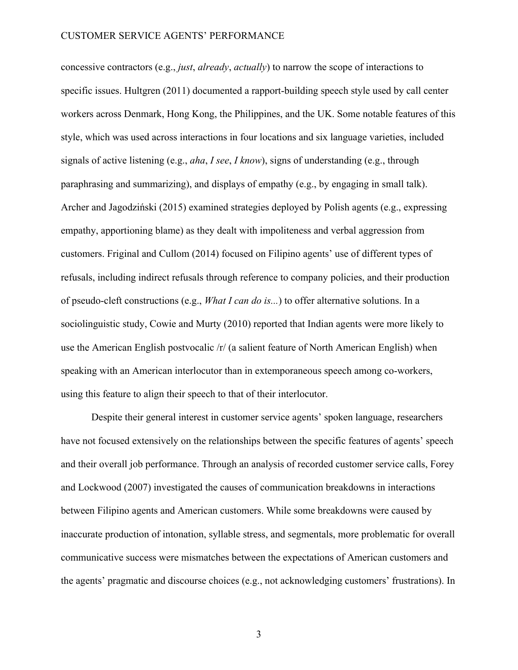concessive contractors (e.g., *just*, *already*, *actually*) to narrow the scope of interactions to specific issues. Hultgren (2011) documented a rapport-building speech style used by call center workers across Denmark, Hong Kong, the Philippines, and the UK. Some notable features of this style, which was used across interactions in four locations and six language varieties, included signals of active listening (e.g., *aha*, *I see*, *I know*), signs of understanding (e.g., through paraphrasing and summarizing), and displays of empathy (e.g., by engaging in small talk). Archer and Jagodziński (2015) examined strategies deployed by Polish agents (e.g., expressing empathy, apportioning blame) as they dealt with impoliteness and verbal aggression from customers. Friginal and Cullom (2014) focused on Filipino agents' use of different types of refusals, including indirect refusals through reference to company policies, and their production of pseudo-cleft constructions (e.g., *What I can do is...*) to offer alternative solutions. In a sociolinguistic study, Cowie and Murty (2010) reported that Indian agents were more likely to use the American English postvocalic /r/ (a salient feature of North American English) when speaking with an American interlocutor than in extemporaneous speech among co-workers, using this feature to align their speech to that of their interlocutor.

Despite their general interest in customer service agents' spoken language, researchers have not focused extensively on the relationships between the specific features of agents' speech and their overall job performance. Through an analysis of recorded customer service calls, Forey and Lockwood (2007) investigated the causes of communication breakdowns in interactions between Filipino agents and American customers. While some breakdowns were caused by inaccurate production of intonation, syllable stress, and segmentals, more problematic for overall communicative success were mismatches between the expectations of American customers and the agents' pragmatic and discourse choices (e.g., not acknowledging customers' frustrations). In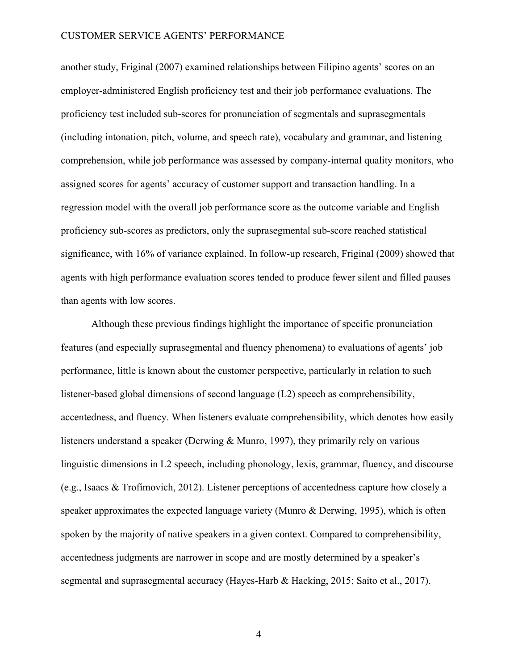another study, Friginal (2007) examined relationships between Filipino agents' scores on an employer-administered English proficiency test and their job performance evaluations. The proficiency test included sub-scores for pronunciation of segmentals and suprasegmentals (including intonation, pitch, volume, and speech rate), vocabulary and grammar, and listening comprehension, while job performance was assessed by company-internal quality monitors, who assigned scores for agents' accuracy of customer support and transaction handling. In a regression model with the overall job performance score as the outcome variable and English proficiency sub-scores as predictors, only the suprasegmental sub-score reached statistical significance, with 16% of variance explained. In follow-up research, Friginal (2009) showed that agents with high performance evaluation scores tended to produce fewer silent and filled pauses than agents with low scores.

Although these previous findings highlight the importance of specific pronunciation features (and especially suprasegmental and fluency phenomena) to evaluations of agents' job performance, little is known about the customer perspective, particularly in relation to such listener-based global dimensions of second language (L2) speech as comprehensibility, accentedness, and fluency. When listeners evaluate comprehensibility, which denotes how easily listeners understand a speaker (Derwing & Munro, 1997), they primarily rely on various linguistic dimensions in L2 speech, including phonology, lexis, grammar, fluency, and discourse (e.g., Isaacs & Trofimovich, 2012). Listener perceptions of accentedness capture how closely a speaker approximates the expected language variety (Munro & Derwing, 1995), which is often spoken by the majority of native speakers in a given context. Compared to comprehensibility, accentedness judgments are narrower in scope and are mostly determined by a speaker's segmental and suprasegmental accuracy (Hayes-Harb & Hacking, 2015; Saito et al., 2017).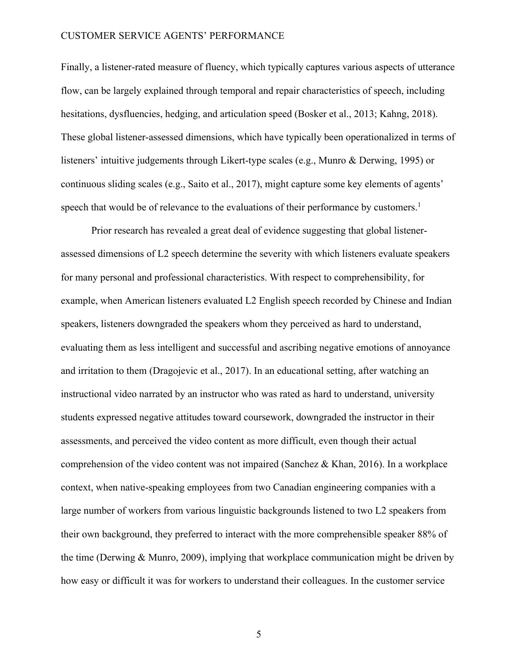Finally, a listener-rated measure of fluency, which typically captures various aspects of utterance flow, can be largely explained through temporal and repair characteristics of speech, including hesitations, dysfluencies, hedging, and articulation speed (Bosker et al., 2013; Kahng, 2018). These global listener-assessed dimensions, which have typically been operationalized in terms of listeners' intuitive judgements through Likert-type scales (e.g., Munro & Derwing, 1995) or continuous sliding scales (e.g., Saito et al., 2017), might capture some key elements of agents' speech that would be of relevance to the evaluations of their performance by customers.<sup>1</sup>

Prior research has revealed a great deal of evidence suggesting that global listenerassessed dimensions of L2 speech determine the severity with which listeners evaluate speakers for many personal and professional characteristics. With respect to comprehensibility, for example, when American listeners evaluated L2 English speech recorded by Chinese and Indian speakers, listeners downgraded the speakers whom they perceived as hard to understand, evaluating them as less intelligent and successful and ascribing negative emotions of annoyance and irritation to them (Dragojevic et al., 2017). In an educational setting, after watching an instructional video narrated by an instructor who was rated as hard to understand, university students expressed negative attitudes toward coursework, downgraded the instructor in their assessments, and perceived the video content as more difficult, even though their actual comprehension of the video content was not impaired (Sanchez & Khan, 2016). In a workplace context, when native-speaking employees from two Canadian engineering companies with a large number of workers from various linguistic backgrounds listened to two L2 speakers from their own background, they preferred to interact with the more comprehensible speaker 88% of the time (Derwing & Munro, 2009), implying that workplace communication might be driven by how easy or difficult it was for workers to understand their colleagues. In the customer service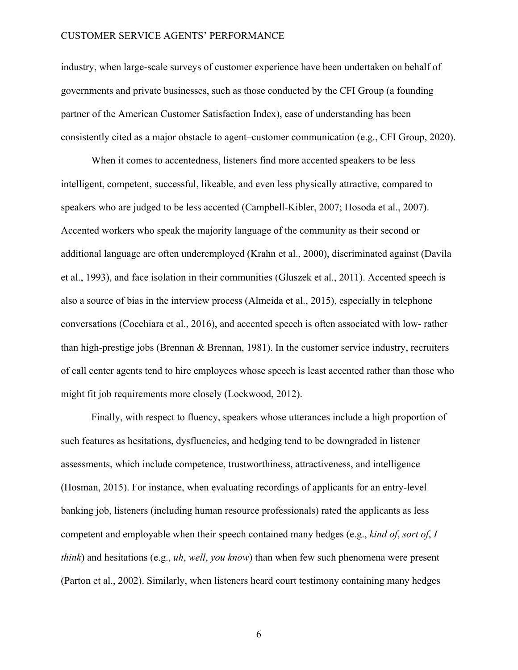industry, when large-scale surveys of customer experience have been undertaken on behalf of governments and private businesses, such as those conducted by the CFI Group (a founding partner of the American Customer Satisfaction Index), ease of understanding has been consistently cited as a major obstacle to agent–customer communication (e.g., CFI Group, 2020).

When it comes to accentedness, listeners find more accented speakers to be less intelligent, competent, successful, likeable, and even less physically attractive, compared to speakers who are judged to be less accented (Campbell-Kibler, 2007; Hosoda et al., 2007). Accented workers who speak the majority language of the community as their second or additional language are often underemployed (Krahn et al., 2000), discriminated against (Davila et al., 1993), and face isolation in their communities (Gluszek et al., 2011). Accented speech is also a source of bias in the interview process (Almeida et al., 2015), especially in telephone conversations (Cocchiara et al., 2016), and accented speech is often associated with low- rather than high-prestige jobs (Brennan & Brennan, 1981). In the customer service industry, recruiters of call center agents tend to hire employees whose speech is least accented rather than those who might fit job requirements more closely (Lockwood, 2012).

Finally, with respect to fluency, speakers whose utterances include a high proportion of such features as hesitations, dysfluencies, and hedging tend to be downgraded in listener assessments, which include competence, trustworthiness, attractiveness, and intelligence (Hosman, 2015). For instance, when evaluating recordings of applicants for an entry-level banking job, listeners (including human resource professionals) rated the applicants as less competent and employable when their speech contained many hedges (e.g., *kind of*, *sort of*, *I think*) and hesitations (e.g., *uh*, *well*, *you know*) than when few such phenomena were present (Parton et al., 2002). Similarly, when listeners heard court testimony containing many hedges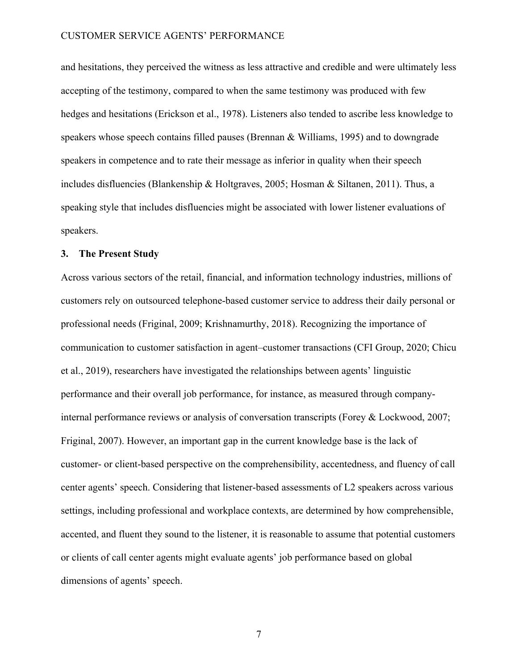and hesitations, they perceived the witness as less attractive and credible and were ultimately less accepting of the testimony, compared to when the same testimony was produced with few hedges and hesitations (Erickson et al., 1978). Listeners also tended to ascribe less knowledge to speakers whose speech contains filled pauses (Brennan & Williams, 1995) and to downgrade speakers in competence and to rate their message as inferior in quality when their speech includes disfluencies (Blankenship & Holtgraves, 2005; Hosman & Siltanen, 2011). Thus, a speaking style that includes disfluencies might be associated with lower listener evaluations of speakers.

### **3. The Present Study**

Across various sectors of the retail, financial, and information technology industries, millions of customers rely on outsourced telephone-based customer service to address their daily personal or professional needs (Friginal, 2009; Krishnamurthy, 2018). Recognizing the importance of communication to customer satisfaction in agent–customer transactions (CFI Group, 2020; Chicu et al., 2019), researchers have investigated the relationships between agents' linguistic performance and their overall job performance, for instance, as measured through companyinternal performance reviews or analysis of conversation transcripts (Forey & Lockwood, 2007; Friginal, 2007). However, an important gap in the current knowledge base is the lack of customer- or client-based perspective on the comprehensibility, accentedness, and fluency of call center agents' speech. Considering that listener-based assessments of L2 speakers across various settings, including professional and workplace contexts, are determined by how comprehensible, accented, and fluent they sound to the listener, it is reasonable to assume that potential customers or clients of call center agents might evaluate agents' job performance based on global dimensions of agents' speech.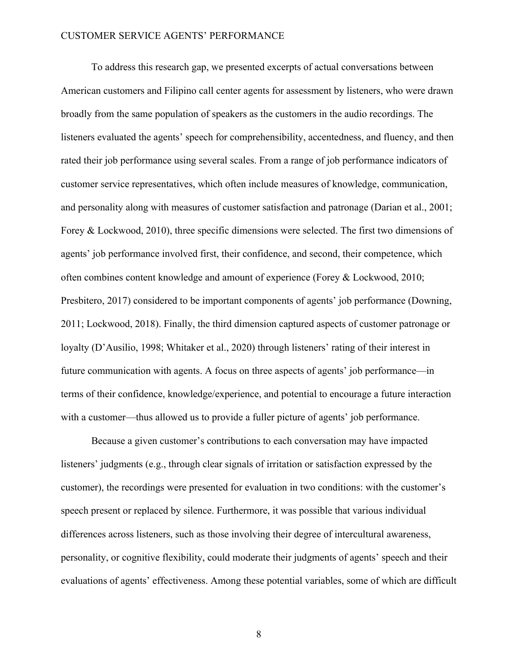To address this research gap, we presented excerpts of actual conversations between American customers and Filipino call center agents for assessment by listeners, who were drawn broadly from the same population of speakers as the customers in the audio recordings. The listeners evaluated the agents' speech for comprehensibility, accentedness, and fluency, and then rated their job performance using several scales. From a range of job performance indicators of customer service representatives, which often include measures of knowledge, communication, and personality along with measures of customer satisfaction and patronage (Darian et al., 2001; Forey & Lockwood, 2010), three specific dimensions were selected. The first two dimensions of agents' job performance involved first, their confidence, and second, their competence, which often combines content knowledge and amount of experience (Forey & Lockwood, 2010; Presbitero, 2017) considered to be important components of agents' job performance (Downing, 2011; Lockwood, 2018). Finally, the third dimension captured aspects of customer patronage or loyalty (D'Ausilio, 1998; Whitaker et al., 2020) through listeners' rating of their interest in future communication with agents. A focus on three aspects of agents' job performance—in terms of their confidence, knowledge/experience, and potential to encourage a future interaction with a customer—thus allowed us to provide a fuller picture of agents' job performance.

Because a given customer's contributions to each conversation may have impacted listeners' judgments (e.g., through clear signals of irritation or satisfaction expressed by the customer), the recordings were presented for evaluation in two conditions: with the customer's speech present or replaced by silence. Furthermore, it was possible that various individual differences across listeners, such as those involving their degree of intercultural awareness, personality, or cognitive flexibility, could moderate their judgments of agents' speech and their evaluations of agents' effectiveness. Among these potential variables, some of which are difficult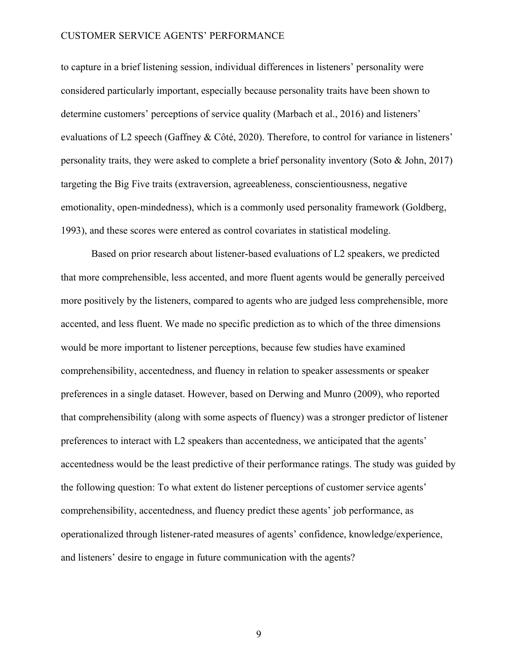to capture in a brief listening session, individual differences in listeners' personality were considered particularly important, especially because personality traits have been shown to determine customers' perceptions of service quality (Marbach et al., 2016) and listeners' evaluations of L2 speech (Gaffney & Côté, 2020). Therefore, to control for variance in listeners' personality traits, they were asked to complete a brief personality inventory (Soto & John, 2017) targeting the Big Five traits (extraversion, agreeableness, conscientiousness, negative emotionality, open-mindedness), which is a commonly used personality framework (Goldberg, 1993), and these scores were entered as control covariates in statistical modeling.

Based on prior research about listener-based evaluations of L2 speakers, we predicted that more comprehensible, less accented, and more fluent agents would be generally perceived more positively by the listeners, compared to agents who are judged less comprehensible, more accented, and less fluent. We made no specific prediction as to which of the three dimensions would be more important to listener perceptions, because few studies have examined comprehensibility, accentedness, and fluency in relation to speaker assessments or speaker preferences in a single dataset. However, based on Derwing and Munro (2009), who reported that comprehensibility (along with some aspects of fluency) was a stronger predictor of listener preferences to interact with L2 speakers than accentedness, we anticipated that the agents' accentedness would be the least predictive of their performance ratings. The study was guided by the following question: To what extent do listener perceptions of customer service agents' comprehensibility, accentedness, and fluency predict these agents' job performance, as operationalized through listener-rated measures of agents' confidence, knowledge/experience, and listeners' desire to engage in future communication with the agents?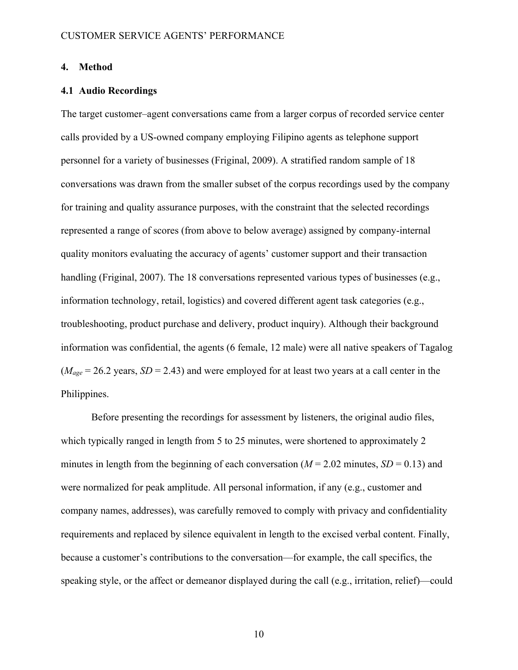### **4. Method**

### **4.1 Audio Recordings**

The target customer–agent conversations came from a larger corpus of recorded service center calls provided by a US-owned company employing Filipino agents as telephone support personnel for a variety of businesses (Friginal, 2009). A stratified random sample of 18 conversations was drawn from the smaller subset of the corpus recordings used by the company for training and quality assurance purposes, with the constraint that the selected recordings represented a range of scores (from above to below average) assigned by company-internal quality monitors evaluating the accuracy of agents' customer support and their transaction handling (Friginal, 2007). The 18 conversations represented various types of businesses (e.g., information technology, retail, logistics) and covered different agent task categories (e.g., troubleshooting, product purchase and delivery, product inquiry). Although their background information was confidential, the agents (6 female, 12 male) were all native speakers of Tagalog  $(M_{age} = 26.2 \text{ years}, SD = 2.43)$  and were employed for at least two years at a call center in the Philippines.

Before presenting the recordings for assessment by listeners, the original audio files, which typically ranged in length from 5 to 25 minutes, were shortened to approximately 2 minutes in length from the beginning of each conversation ( $M = 2.02$  minutes,  $SD = 0.13$ ) and were normalized for peak amplitude. All personal information, if any (e.g., customer and company names, addresses), was carefully removed to comply with privacy and confidentiality requirements and replaced by silence equivalent in length to the excised verbal content. Finally, because a customer's contributions to the conversation—for example, the call specifics, the speaking style, or the affect or demeanor displayed during the call (e.g., irritation, relief)—could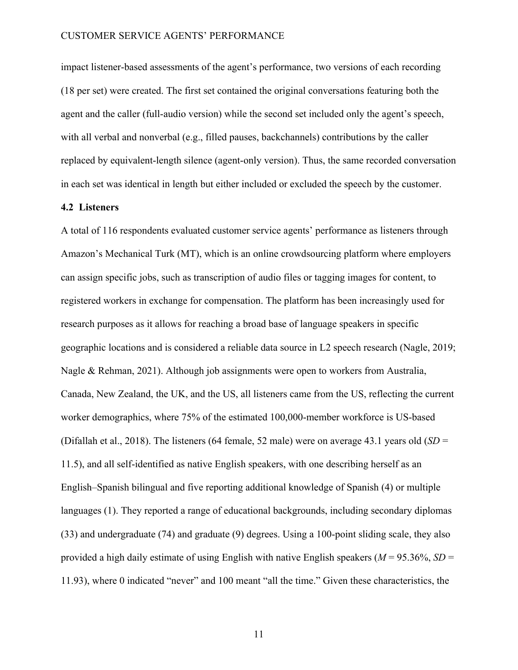impact listener-based assessments of the agent's performance, two versions of each recording (18 per set) were created. The first set contained the original conversations featuring both the agent and the caller (full-audio version) while the second set included only the agent's speech, with all verbal and nonverbal (e.g., filled pauses, backchannels) contributions by the caller replaced by equivalent-length silence (agent-only version). Thus, the same recorded conversation in each set was identical in length but either included or excluded the speech by the customer.

# **4.2 Listeners**

A total of 116 respondents evaluated customer service agents' performance as listeners through Amazon's Mechanical Turk (MT), which is an online crowdsourcing platform where employers can assign specific jobs, such as transcription of audio files or tagging images for content, to registered workers in exchange for compensation. The platform has been increasingly used for research purposes as it allows for reaching a broad base of language speakers in specific geographic locations and is considered a reliable data source in L2 speech research (Nagle, 2019; Nagle & Rehman, 2021). Although job assignments were open to workers from Australia, Canada, New Zealand, the UK, and the US, all listeners came from the US, reflecting the current worker demographics, where 75% of the estimated 100,000-member workforce is US-based (Difallah et al., 2018). The listeners (64 female, 52 male) were on average 43.1 years old (*SD* = 11.5), and all self-identified as native English speakers, with one describing herself as an English–Spanish bilingual and five reporting additional knowledge of Spanish (4) or multiple languages (1). They reported a range of educational backgrounds, including secondary diplomas (33) and undergraduate (74) and graduate (9) degrees. Using a 100-point sliding scale, they also provided a high daily estimate of using English with native English speakers ( $M = 95.36\%$ ,  $SD =$ 11.93), where 0 indicated "never" and 100 meant "all the time." Given these characteristics, the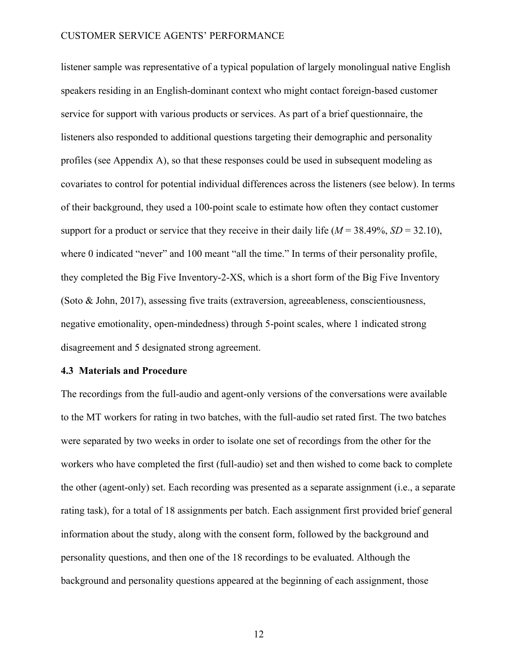listener sample was representative of a typical population of largely monolingual native English speakers residing in an English-dominant context who might contact foreign-based customer service for support with various products or services. As part of a brief questionnaire, the listeners also responded to additional questions targeting their demographic and personality profiles (see Appendix A), so that these responses could be used in subsequent modeling as covariates to control for potential individual differences across the listeners (see below). In terms of their background, they used a 100-point scale to estimate how often they contact customer support for a product or service that they receive in their daily life  $(M = 38.49\%, SD = 32.10)$ , where 0 indicated "never" and 100 meant "all the time." In terms of their personality profile, they completed the Big Five Inventory-2-XS, which is a short form of the Big Five Inventory (Soto & John, 2017), assessing five traits (extraversion, agreeableness, conscientiousness, negative emotionality, open-mindedness) through 5-point scales, where 1 indicated strong disagreement and 5 designated strong agreement.

### **4.3 Materials and Procedure**

The recordings from the full-audio and agent-only versions of the conversations were available to the MT workers for rating in two batches, with the full-audio set rated first. The two batches were separated by two weeks in order to isolate one set of recordings from the other for the workers who have completed the first (full-audio) set and then wished to come back to complete the other (agent-only) set. Each recording was presented as a separate assignment (i.e., a separate rating task), for a total of 18 assignments per batch. Each assignment first provided brief general information about the study, along with the consent form, followed by the background and personality questions, and then one of the 18 recordings to be evaluated. Although the background and personality questions appeared at the beginning of each assignment, those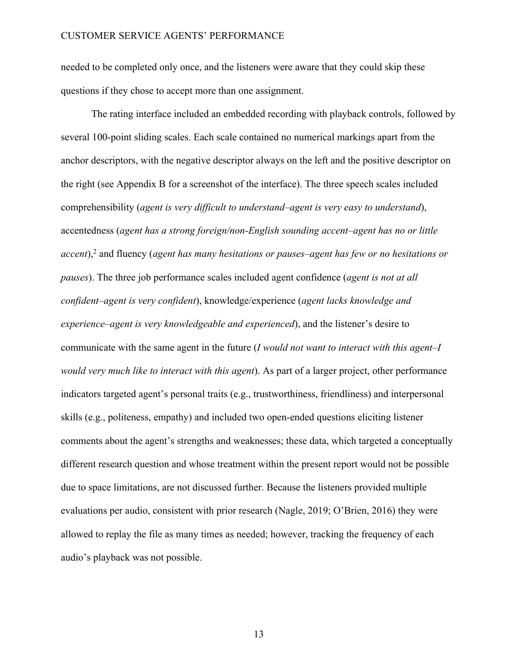needed to be completed only once, and the listeners were aware that they could skip these questions if they chose to accept more than one assignment.

The rating interface included an embedded recording with playback controls, followed by several 100-point sliding scales. Each scale contained no numerical markings apart from the anchor descriptors, with the negative descriptor always on the left and the positive descriptor on the right (see Appendix B for a screenshot of the interface). The three speech scales included comprehensibility (*agent is very difficult to understand*–*agent is very easy to understand*), accentedness (*agent has a strong foreign/non-English sounding accent*–*agent has no or little accent*),2 and fluency (*agent has many hesitations or pauses*–*agent has few or no hesitations or pauses*). The three job performance scales included agent confidence (*agent is not at all confident*–*agent is very confident*), knowledge/experience (*agent lacks knowledge and experience*–*agent is very knowledgeable and experienced*), and the listener's desire to communicate with the same agent in the future (*I would not want to interact with this agent*–*I would very much like to interact with this agent*). As part of a larger project, other performance indicators targeted agent's personal traits (e.g., trustworthiness, friendliness) and interpersonal skills (e.g., politeness, empathy) and included two open-ended questions eliciting listener comments about the agent's strengths and weaknesses; these data, which targeted a conceptually different research question and whose treatment within the present report would not be possible due to space limitations, are not discussed further. Because the listeners provided multiple evaluations per audio, consistent with prior research (Nagle, 2019; O'Brien, 2016) they were allowed to replay the file as many times as needed; however, tracking the frequency of each audio's playback was not possible.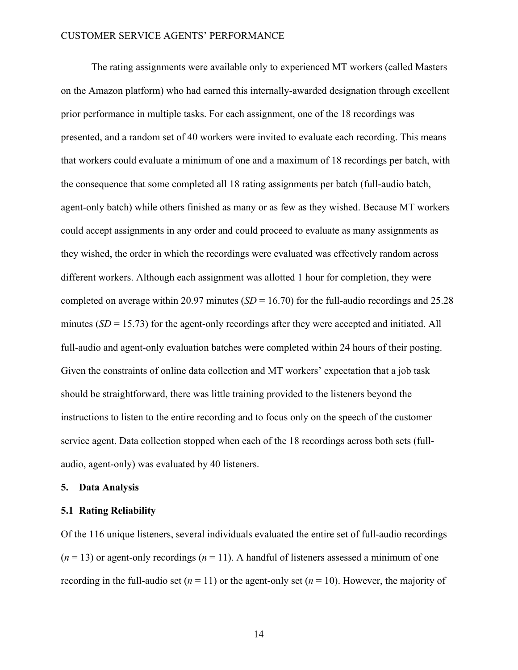The rating assignments were available only to experienced MT workers (called Masters on the Amazon platform) who had earned this internally-awarded designation through excellent prior performance in multiple tasks. For each assignment, one of the 18 recordings was presented, and a random set of 40 workers were invited to evaluate each recording. This means that workers could evaluate a minimum of one and a maximum of 18 recordings per batch, with the consequence that some completed all 18 rating assignments per batch (full-audio batch, agent-only batch) while others finished as many or as few as they wished. Because MT workers could accept assignments in any order and could proceed to evaluate as many assignments as they wished, the order in which the recordings were evaluated was effectively random across different workers. Although each assignment was allotted 1 hour for completion, they were completed on average within 20.97 minutes (*SD* = 16.70) for the full-audio recordings and 25.28 minutes (*SD* = 15.73) for the agent-only recordings after they were accepted and initiated. All full-audio and agent-only evaluation batches were completed within 24 hours of their posting. Given the constraints of online data collection and MT workers' expectation that a job task should be straightforward, there was little training provided to the listeners beyond the instructions to listen to the entire recording and to focus only on the speech of the customer service agent. Data collection stopped when each of the 18 recordings across both sets (fullaudio, agent-only) was evaluated by 40 listeners.

### **5. Data Analysis**

### **5.1 Rating Reliability**

Of the 116 unique listeners, several individuals evaluated the entire set of full-audio recordings  $(n = 13)$  or agent-only recordings  $(n = 11)$ . A handful of listeners assessed a minimum of one recording in the full-audio set  $(n = 11)$  or the agent-only set  $(n = 10)$ . However, the majority of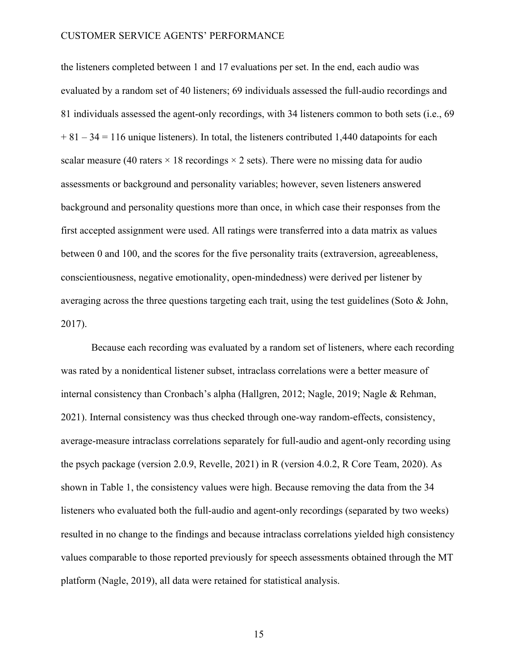the listeners completed between 1 and 17 evaluations per set. In the end, each audio was evaluated by a random set of 40 listeners; 69 individuals assessed the full-audio recordings and 81 individuals assessed the agent-only recordings, with 34 listeners common to both sets (i.e., 69  $+ 81 - 34 = 116$  unique listeners). In total, the listeners contributed 1,440 datapoints for each scalar measure (40 raters  $\times$  18 recordings  $\times$  2 sets). There were no missing data for audio assessments or background and personality variables; however, seven listeners answered background and personality questions more than once, in which case their responses from the first accepted assignment were used. All ratings were transferred into a data matrix as values between 0 and 100, and the scores for the five personality traits (extraversion, agreeableness, conscientiousness, negative emotionality, open-mindedness) were derived per listener by averaging across the three questions targeting each trait, using the test guidelines (Soto & John, 2017).

Because each recording was evaluated by a random set of listeners, where each recording was rated by a nonidentical listener subset, intraclass correlations were a better measure of internal consistency than Cronbach's alpha (Hallgren, 2012; Nagle, 2019; Nagle & Rehman, 2021). Internal consistency was thus checked through one-way random-effects, consistency, average-measure intraclass correlations separately for full-audio and agent-only recording using the psych package (version 2.0.9, Revelle, 2021) in R (version 4.0.2, R Core Team, 2020). As shown in Table 1, the consistency values were high. Because removing the data from the 34 listeners who evaluated both the full-audio and agent-only recordings (separated by two weeks) resulted in no change to the findings and because intraclass correlations yielded high consistency values comparable to those reported previously for speech assessments obtained through the MT platform (Nagle, 2019), all data were retained for statistical analysis.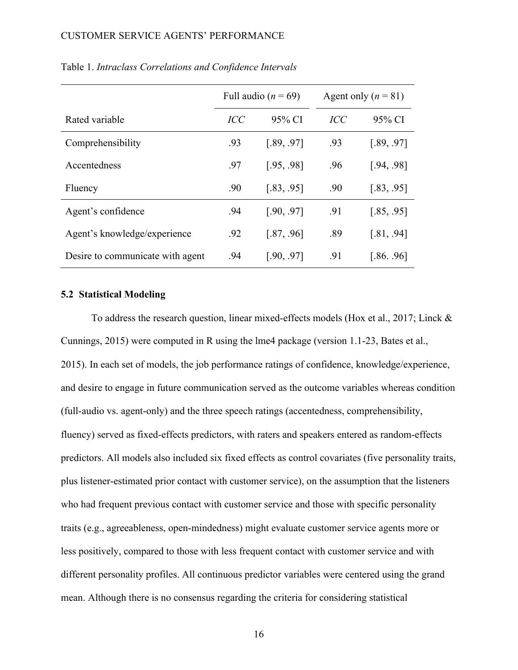|                                  |            | Full audio ( $n = 69$ ) | Agent only $(n = 81)$ |            |  |
|----------------------------------|------------|-------------------------|-----------------------|------------|--|
| Rated variable                   | <b>ICC</b> | 95% CI                  | <i>ICC</i>            | 95% CI     |  |
| Comprehensibility                | .93        | [.89, .97]              | .93                   | [.89, .97] |  |
| Accentedness                     | .97        | [.95, .98]              | .96                   | [.94, .98] |  |
| Fluency                          | .90        | [.83, .95]              | .90                   | [.83, .95] |  |
| Agent's confidence               | .94        | [.90, .97]              | .91                   | [.85, .95] |  |
| Agent's knowledge/experience     | .92        | [.87, .96]              | .89                   | [.81, .94] |  |
| Desire to communicate with agent | .94        | [.90, .97]              | .91                   | [.86, .96] |  |

### Table 1. *Intraclass Correlations and Confidence Intervals*

# **5.2 Statistical Modeling**

To address the research question, linear mixed-effects models (Hox et al., 2017; Linck & Cunnings, 2015) were computed in R using the lme4 package (version 1.1-23, Bates et al., 2015). In each set of models, the job performance ratings of confidence, knowledge/experience, and desire to engage in future communication served as the outcome variables whereas condition (full-audio vs. agent-only) and the three speech ratings (accentedness, comprehensibility, fluency) served as fixed-effects predictors, with raters and speakers entered as random-effects predictors. All models also included six fixed effects as control covariates (five personality traits, plus listener-estimated prior contact with customer service), on the assumption that the listeners who had frequent previous contact with customer service and those with specific personality traits (e.g., agreeableness, open-mindedness) might evaluate customer service agents more or less positively, compared to those with less frequent contact with customer service and with different personality profiles. All continuous predictor variables were centered using the grand mean. Although there is no consensus regarding the criteria for considering statistical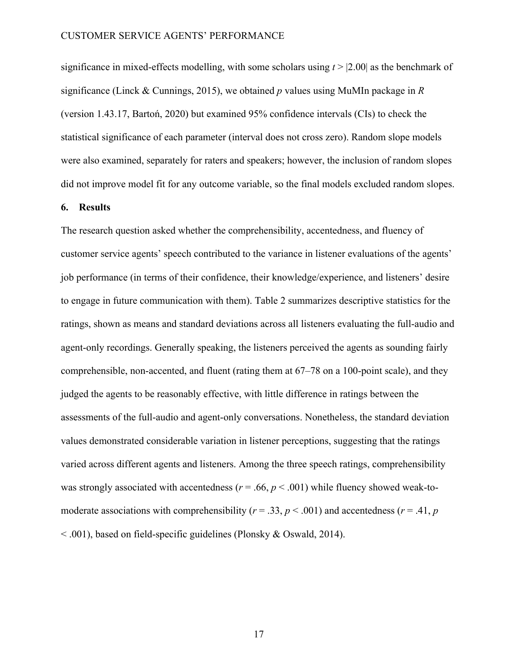significance in mixed-effects modelling, with some scholars using *t* > |2.00| as the benchmark of significance (Linck & Cunnings, 2015), we obtained *p* values using MuMIn package in *R* (version 1.43.17, Bartoń, 2020) but examined 95% confidence intervals (CIs) to check the statistical significance of each parameter (interval does not cross zero). Random slope models were also examined, separately for raters and speakers; however, the inclusion of random slopes did not improve model fit for any outcome variable, so the final models excluded random slopes.

# **6. Results**

The research question asked whether the comprehensibility, accentedness, and fluency of customer service agents' speech contributed to the variance in listener evaluations of the agents' job performance (in terms of their confidence, their knowledge/experience, and listeners' desire to engage in future communication with them). Table 2 summarizes descriptive statistics for the ratings, shown as means and standard deviations across all listeners evaluating the full-audio and agent-only recordings. Generally speaking, the listeners perceived the agents as sounding fairly comprehensible, non-accented, and fluent (rating them at 67–78 on a 100-point scale), and they judged the agents to be reasonably effective, with little difference in ratings between the assessments of the full-audio and agent-only conversations. Nonetheless, the standard deviation values demonstrated considerable variation in listener perceptions, suggesting that the ratings varied across different agents and listeners. Among the three speech ratings, comprehensibility was strongly associated with accentedness ( $r = .66$ ,  $p < .001$ ) while fluency showed weak-tomoderate associations with comprehensibility ( $r = .33$ ,  $p < .001$ ) and accentedness ( $r = .41$ ,  $p$ < .001), based on field-specific guidelines (Plonsky & Oswald, 2014).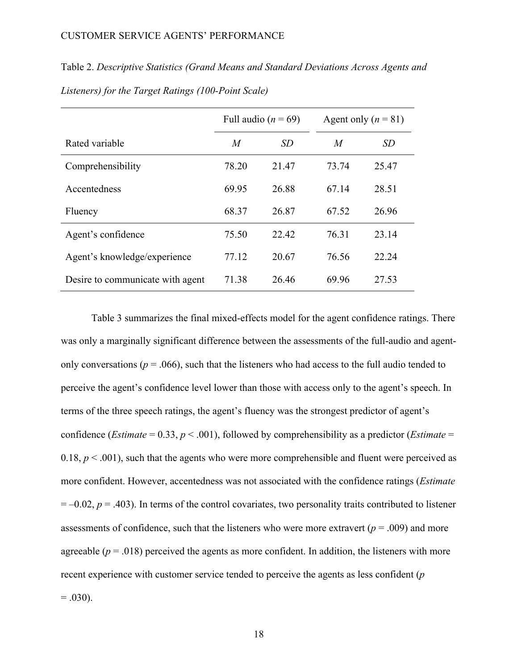|                                  | Full audio ( $n = 69$ ) |           | Agent only $(n = 81)$ |       |
|----------------------------------|-------------------------|-----------|-----------------------|-------|
| Rated variable                   | M                       | <i>SD</i> | $\overline{M}$        | SD    |
| Comprehensibility                | 78.20                   | 21.47     | 73.74                 | 25.47 |
| Accentedness                     | 69.95                   | 26.88     | 67.14                 | 28.51 |
| Fluency                          | 68.37                   | 26.87     | 67.52                 | 26.96 |
| Agent's confidence               | 75.50                   | 22.42     | 76.31                 | 23.14 |
| Agent's knowledge/experience     | 77.12                   | 20.67     | 76.56                 | 22.24 |
| Desire to communicate with agent | 71.38                   | 26.46     | 69.96                 | 27.53 |

Table 2. *Descriptive Statistics (Grand Means and Standard Deviations Across Agents and Listeners) for the Target Ratings (100-Point Scale)*

Table 3 summarizes the final mixed-effects model for the agent confidence ratings. There was only a marginally significant difference between the assessments of the full-audio and agentonly conversations ( $p = .066$ ), such that the listeners who had access to the full audio tended to perceive the agent's confidence level lower than those with access only to the agent's speech. In terms of the three speech ratings, the agent's fluency was the strongest predictor of agent's confidence (*Estimate* = 0.33, *p* < .001), followed by comprehensibility as a predictor (*Estimate* = 0.18,  $p < .001$ ), such that the agents who were more comprehensible and fluent were perceived as more confident. However, accentedness was not associated with the confidence ratings (*Estimate*  $= -0.02$ ,  $p = .403$ ). In terms of the control covariates, two personality traits contributed to listener assessments of confidence, such that the listeners who were more extravert ( $p = .009$ ) and more agreeable  $(p = .018)$  perceived the agents as more confident. In addition, the listeners with more recent experience with customer service tended to perceive the agents as less confident (*p*   $= .030$ ).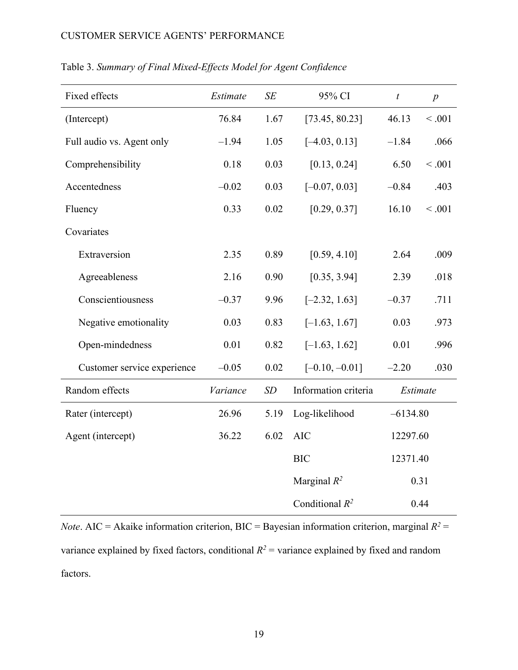| Fixed effects               | Estimate | SE   | 95% CI<br>$\boldsymbol{t}$   |          | $\boldsymbol{p}$ |
|-----------------------------|----------|------|------------------------------|----------|------------------|
| (Intercept)                 | 76.84    | 1.67 | [73.45, 80.23]               | 46.13    | < .001           |
| Full audio vs. Agent only   | $-1.94$  | 1.05 | $[-4.03, 0.13]$              | $-1.84$  | .066             |
| Comprehensibility           | 0.18     | 0.03 | [0.13, 0.24]                 | 6.50     | < .001           |
| Accentedness                | $-0.02$  | 0.03 | $[-0.07, 0.03]$              | $-0.84$  | .403             |
| Fluency                     | 0.33     | 0.02 | [0.29, 0.37]                 | 16.10    | < .001           |
| Covariates                  |          |      |                              |          |                  |
| Extraversion                | 2.35     | 0.89 | [0.59, 4.10]                 | 2.64     | .009             |
| Agreeableness               | 2.16     | 0.90 | [0.35, 3.94]                 | 2.39     | .018             |
| Conscientiousness           | $-0.37$  | 9.96 | $[-2.32, 1.63]$              | $-0.37$  | .711             |
| Negative emotionality       | 0.03     | 0.83 | $[-1.63, 1.67]$              | 0.03     | .973             |
| Open-mindedness             | 0.01     | 0.82 | $[-1.63, 1.62]$              | 0.01     | .996             |
| Customer service experience | $-0.05$  | 0.02 | $[-0.10, -0.01]$             | $-2.20$  | .030             |
| Random effects              | Variance | SD   | Information criteria         | Estimate |                  |
| Rater (intercept)           | 26.96    | 5.19 | Log-likelihood<br>$-6134.80$ |          |                  |
| Agent (intercept)           | 36.22    | 6.02 | <b>AIC</b><br>12297.60       |          |                  |
|                             |          |      | <b>BIC</b><br>12371.40       |          |                  |
|                             |          |      | Marginal $R^2$               |          | 0.31             |
|                             |          |      | Conditional $R^2$            |          | 0.44             |

# Table 3. *Summary of Final Mixed-Effects Model for Agent Confidence*

*Note*. AIC = Akaike information criterion, BIC = Bayesian information criterion, marginal  $R^2$  = variance explained by fixed factors, conditional  $R^2$  = variance explained by fixed and random factors.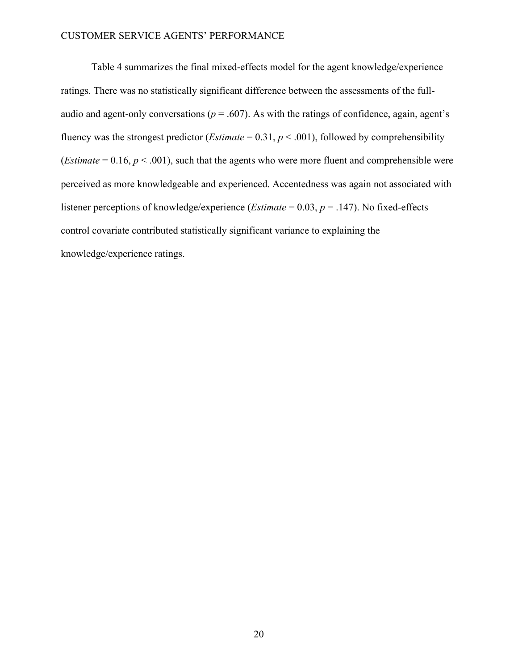Table 4 summarizes the final mixed-effects model for the agent knowledge/experience ratings. There was no statistically significant difference between the assessments of the fullaudio and agent-only conversations ( $p = .607$ ). As with the ratings of confidence, again, agent's fluency was the strongest predictor (*Estimate* =  $0.31, p < .001$ ), followed by comprehensibility (*Estimate* =  $0.16$ ,  $p < .001$ ), such that the agents who were more fluent and comprehensible were perceived as more knowledgeable and experienced. Accentedness was again not associated with listener perceptions of knowledge/experience (*Estimate* = 0.03, *p* = .147). No fixed-effects control covariate contributed statistically significant variance to explaining the knowledge/experience ratings.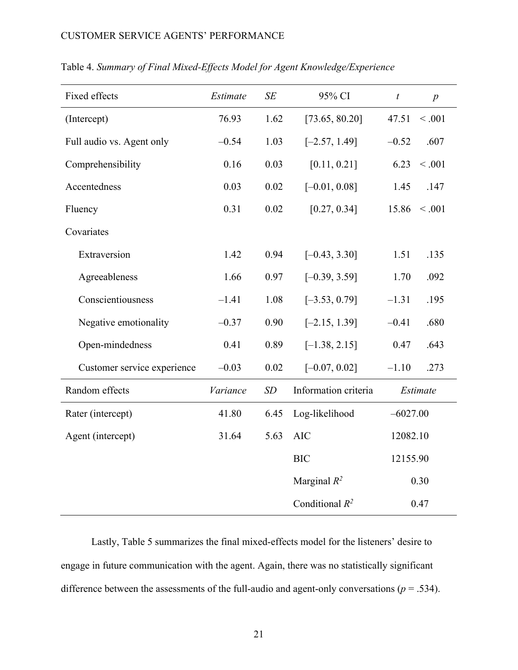| Fixed effects               | Estimate | SE   | 95% CI                     | $\boldsymbol{t}$ | $\boldsymbol{p}$ |
|-----------------------------|----------|------|----------------------------|------------------|------------------|
| (Intercept)                 | 76.93    | 1.62 | [73.65, 80.20]             | 47.51            | < .001           |
| Full audio vs. Agent only   | $-0.54$  | 1.03 | $[-2.57, 1.49]$<br>$-0.52$ |                  | .607             |
| Comprehensibility           | 0.16     | 0.03 | [0.11, 0.21]               | 6.23             | < .001           |
| Accentedness                | 0.03     | 0.02 | $[-0.01, 0.08]$            | 1.45             | .147             |
| Fluency                     | 0.31     | 0.02 | [0.27, 0.34]               | 15.86            | < .001           |
| Covariates                  |          |      |                            |                  |                  |
| Extraversion                | 1.42     | 0.94 | $[-0.43, 3.30]$            | 1.51             | .135             |
| Agreeableness               | 1.66     | 0.97 | $[-0.39, 3.59]$            | 1.70             | .092             |
| Conscientiousness           | $-1.41$  | 1.08 | $[-3.53, 0.79]$            | $-1.31$          | .195             |
| Negative emotionality       | $-0.37$  | 0.90 | $[-2.15, 1.39]$            | $-0.41$          | .680             |
| Open-mindedness             | 0.41     | 0.89 | $[-1.38, 2.15]$            | 0.47             | .643             |
| Customer service experience | $-0.03$  | 0.02 | $[-0.07, 0.02]$            | $-1.10$          | .273             |
| Random effects              | Variance | SD   | Information criteria       | Estimate         |                  |
| Rater (intercept)           | 41.80    | 6.45 | Log-likelihood             | $-6027.00$       |                  |
| Agent (intercept)           | 31.64    | 5.63 | <b>AIC</b>                 | 12082.10         |                  |
|                             |          |      | <b>BIC</b>                 | 12155.90         |                  |
|                             |          |      | Marginal $R^2$             | 0.30             |                  |
|                             |          |      | Conditional $R^2$          | 0.47             |                  |

Table 4. *Summary of Final Mixed-Effects Model for Agent Knowledge/Experience*

Lastly, Table 5 summarizes the final mixed-effects model for the listeners' desire to engage in future communication with the agent. Again, there was no statistically significant difference between the assessments of the full-audio and agent-only conversations ( $p = .534$ ).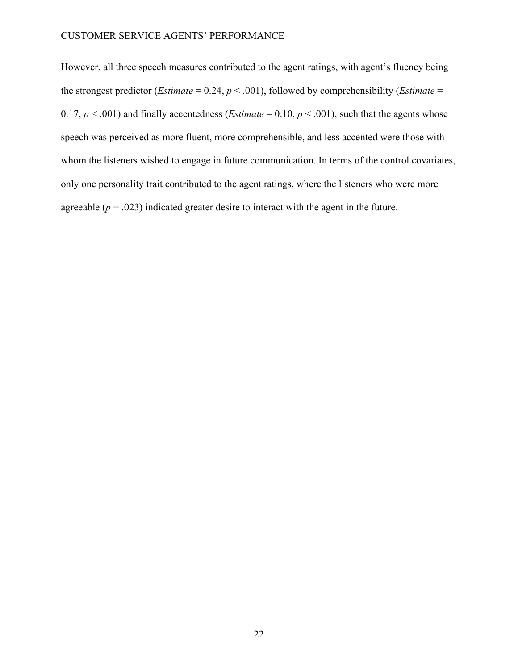However, all three speech measures contributed to the agent ratings, with agent's fluency being the strongest predictor (*Estimate* = 0.24,  $p < .001$ ), followed by comprehensibility (*Estimate* = 0.17,  $p \le 0.001$ ) and finally accentedness (*Estimate* = 0.10,  $p \le 0.001$ ), such that the agents whose speech was perceived as more fluent, more comprehensible, and less accented were those with whom the listeners wished to engage in future communication. In terms of the control covariates, only one personality trait contributed to the agent ratings, where the listeners who were more agreeable  $(p = .023)$  indicated greater desire to interact with the agent in the future.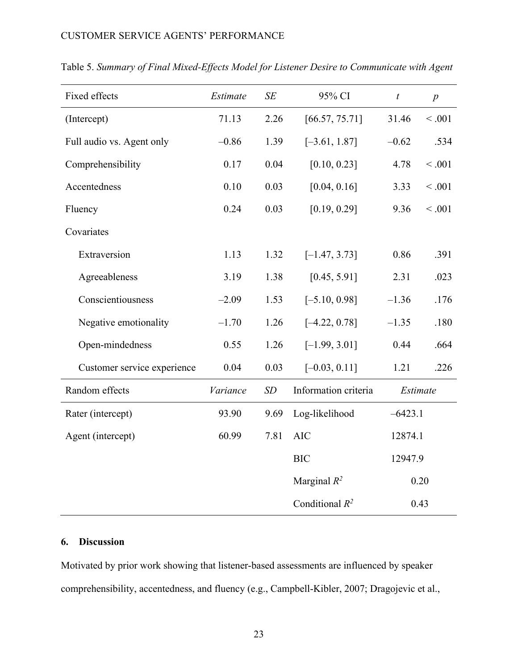| Fixed effects               | Estimate | SE   | 95% CI                     | $\boldsymbol{t}$<br>$\boldsymbol{p}$ |         |
|-----------------------------|----------|------|----------------------------|--------------------------------------|---------|
| (Intercept)                 | 71.13    | 2.26 | [66.57, 75.71]             | 31.46                                | < .001  |
| Full audio vs. Agent only   | $-0.86$  | 1.39 | $[-3.61, 1.87]$<br>$-0.62$ |                                      | .534    |
| Comprehensibility           | 0.17     | 0.04 | [0.10, 0.23]               | 4.78                                 | < .001  |
| Accentedness                | 0.10     | 0.03 | [0.04, 0.16]               | 3.33                                 | < .001  |
| Fluency                     | 0.24     | 0.03 | [0.19, 0.29]               | 9.36                                 | < 0.001 |
| Covariates                  |          |      |                            |                                      |         |
| Extraversion                | 1.13     | 1.32 | $[-1.47, 3.73]$            | 0.86                                 | .391    |
| Agreeableness               | 3.19     | 1.38 | [0.45, 5.91]<br>2.31       |                                      | .023    |
| Conscientiousness           | $-2.09$  | 1.53 | $[-5.10, 0.98]$            | $-1.36$<br>.176                      |         |
| Negative emotionality       | $-1.70$  | 1.26 | $[-4.22, 0.78]$            | $-1.35$                              |         |
| Open-mindedness             | 0.55     | 1.26 | $[-1.99, 3.01]$            | 0.44                                 | .664    |
| Customer service experience | 0.04     | 0.03 | $[-0.03, 0.11]$            | 1.21                                 | .226    |
| Random effects              | Variance | SD   | Information criteria       | Estimate                             |         |
| Rater (intercept)           | 93.90    | 9.69 | Log-likelihood             | $-6423.1$                            |         |
| Agent (intercept)           | 60.99    | 7.81 | <b>AIC</b>                 | 12874.1                              |         |
|                             |          |      | <b>BIC</b>                 | 12947.9                              |         |
|                             |          |      | Marginal $R^2$             | 0.20                                 |         |
|                             |          |      | Conditional $R^2$          | 0.43                                 |         |

Table 5. *Summary of Final Mixed-Effects Model for Listener Desire to Communicate with Agent*

# **6. Discussion**

Motivated by prior work showing that listener-based assessments are influenced by speaker comprehensibility, accentedness, and fluency (e.g., Campbell-Kibler, 2007; Dragojevic et al.,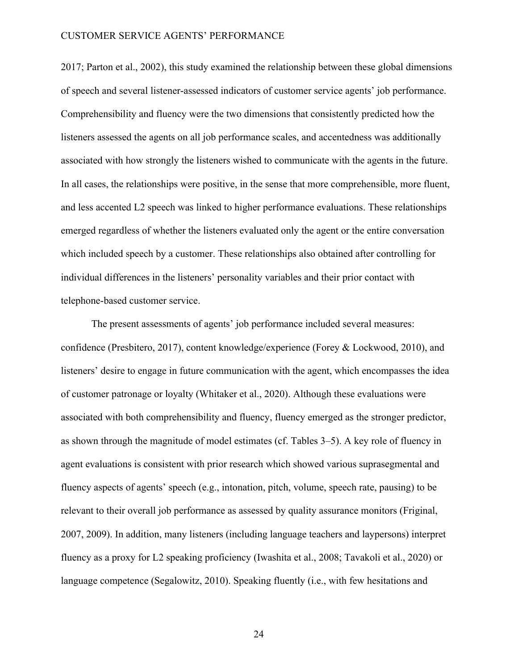2017; Parton et al., 2002), this study examined the relationship between these global dimensions of speech and several listener-assessed indicators of customer service agents' job performance. Comprehensibility and fluency were the two dimensions that consistently predicted how the listeners assessed the agents on all job performance scales, and accentedness was additionally associated with how strongly the listeners wished to communicate with the agents in the future. In all cases, the relationships were positive, in the sense that more comprehensible, more fluent, and less accented L2 speech was linked to higher performance evaluations. These relationships emerged regardless of whether the listeners evaluated only the agent or the entire conversation which included speech by a customer. These relationships also obtained after controlling for individual differences in the listeners' personality variables and their prior contact with telephone-based customer service.

The present assessments of agents' job performance included several measures: confidence (Presbitero, 2017), content knowledge/experience (Forey & Lockwood, 2010), and listeners' desire to engage in future communication with the agent, which encompasses the idea of customer patronage or loyalty (Whitaker et al., 2020). Although these evaluations were associated with both comprehensibility and fluency, fluency emerged as the stronger predictor, as shown through the magnitude of model estimates (cf. Tables 3–5). A key role of fluency in agent evaluations is consistent with prior research which showed various suprasegmental and fluency aspects of agents' speech (e.g., intonation, pitch, volume, speech rate, pausing) to be relevant to their overall job performance as assessed by quality assurance monitors (Friginal, 2007, 2009). In addition, many listeners (including language teachers and laypersons) interpret fluency as a proxy for L2 speaking proficiency (Iwashita et al., 2008; Tavakoli et al., 2020) or language competence (Segalowitz, 2010). Speaking fluently (i.e., with few hesitations and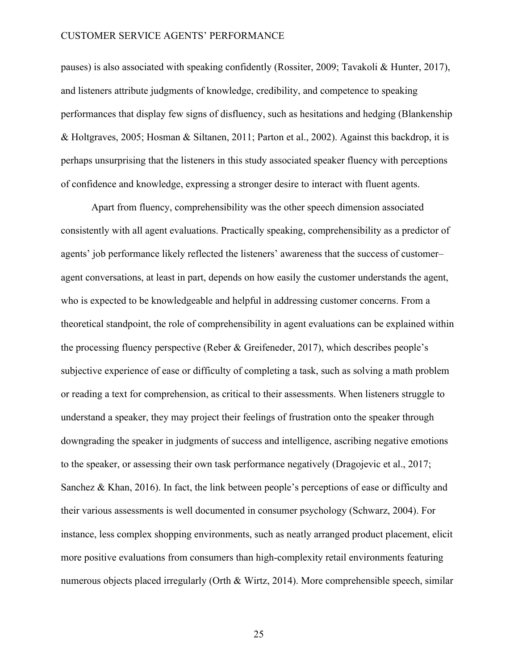pauses) is also associated with speaking confidently (Rossiter, 2009; Tavakoli & Hunter, 2017), and listeners attribute judgments of knowledge, credibility, and competence to speaking performances that display few signs of disfluency, such as hesitations and hedging (Blankenship & Holtgraves, 2005; Hosman & Siltanen, 2011; Parton et al., 2002). Against this backdrop, it is perhaps unsurprising that the listeners in this study associated speaker fluency with perceptions of confidence and knowledge, expressing a stronger desire to interact with fluent agents.

Apart from fluency, comprehensibility was the other speech dimension associated consistently with all agent evaluations. Practically speaking, comprehensibility as a predictor of agents' job performance likely reflected the listeners' awareness that the success of customer– agent conversations, at least in part, depends on how easily the customer understands the agent, who is expected to be knowledgeable and helpful in addressing customer concerns. From a theoretical standpoint, the role of comprehensibility in agent evaluations can be explained within the processing fluency perspective (Reber & Greifeneder, 2017), which describes people's subjective experience of ease or difficulty of completing a task, such as solving a math problem or reading a text for comprehension, as critical to their assessments. When listeners struggle to understand a speaker, they may project their feelings of frustration onto the speaker through downgrading the speaker in judgments of success and intelligence, ascribing negative emotions to the speaker, or assessing their own task performance negatively (Dragojevic et al., 2017; Sanchez & Khan, 2016). In fact, the link between people's perceptions of ease or difficulty and their various assessments is well documented in consumer psychology (Schwarz, 2004). For instance, less complex shopping environments, such as neatly arranged product placement, elicit more positive evaluations from consumers than high-complexity retail environments featuring numerous objects placed irregularly (Orth & Wirtz, 2014). More comprehensible speech, similar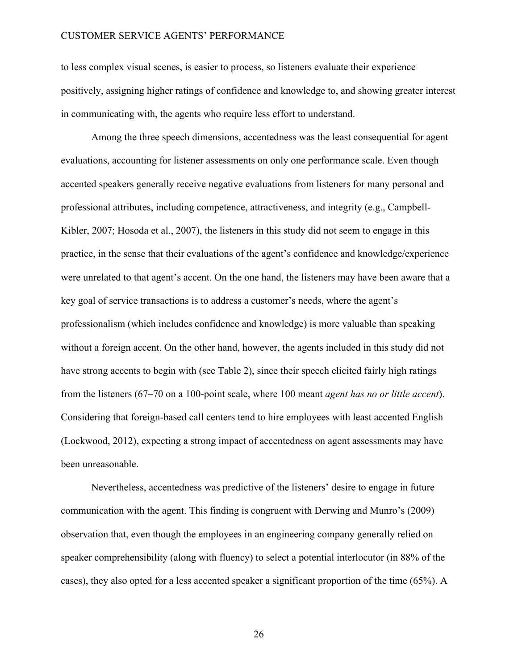to less complex visual scenes, is easier to process, so listeners evaluate their experience positively, assigning higher ratings of confidence and knowledge to, and showing greater interest in communicating with, the agents who require less effort to understand.

Among the three speech dimensions, accentedness was the least consequential for agent evaluations, accounting for listener assessments on only one performance scale. Even though accented speakers generally receive negative evaluations from listeners for many personal and professional attributes, including competence, attractiveness, and integrity (e.g., Campbell-Kibler, 2007; Hosoda et al., 2007), the listeners in this study did not seem to engage in this practice, in the sense that their evaluations of the agent's confidence and knowledge/experience were unrelated to that agent's accent. On the one hand, the listeners may have been aware that a key goal of service transactions is to address a customer's needs, where the agent's professionalism (which includes confidence and knowledge) is more valuable than speaking without a foreign accent. On the other hand, however, the agents included in this study did not have strong accents to begin with (see Table 2), since their speech elicited fairly high ratings from the listeners (67–70 on a 100-point scale, where 100 meant *agent has no or little accent*). Considering that foreign-based call centers tend to hire employees with least accented English (Lockwood, 2012), expecting a strong impact of accentedness on agent assessments may have been unreasonable.

Nevertheless, accentedness was predictive of the listeners' desire to engage in future communication with the agent. This finding is congruent with Derwing and Munro's (2009) observation that, even though the employees in an engineering company generally relied on speaker comprehensibility (along with fluency) to select a potential interlocutor (in 88% of the cases), they also opted for a less accented speaker a significant proportion of the time (65%). A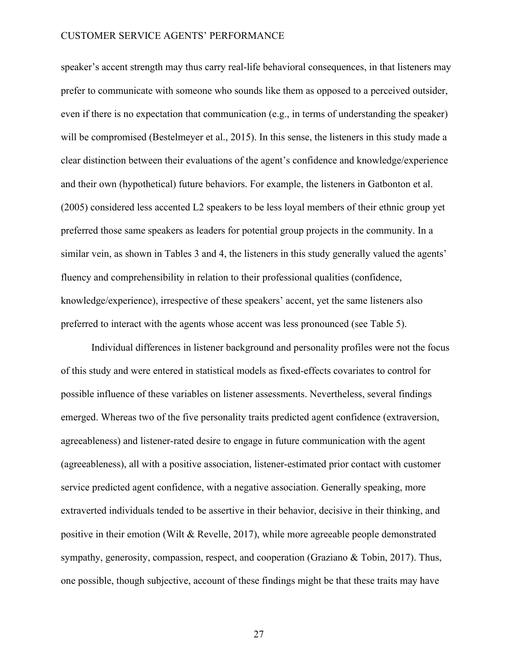speaker's accent strength may thus carry real-life behavioral consequences, in that listeners may prefer to communicate with someone who sounds like them as opposed to a perceived outsider, even if there is no expectation that communication (e.g., in terms of understanding the speaker) will be compromised (Bestelmeyer et al., 2015). In this sense, the listeners in this study made a clear distinction between their evaluations of the agent's confidence and knowledge/experience and their own (hypothetical) future behaviors. For example, the listeners in Gatbonton et al. (2005) considered less accented L2 speakers to be less loyal members of their ethnic group yet preferred those same speakers as leaders for potential group projects in the community. In a similar vein, as shown in Tables 3 and 4, the listeners in this study generally valued the agents' fluency and comprehensibility in relation to their professional qualities (confidence, knowledge/experience), irrespective of these speakers' accent, yet the same listeners also preferred to interact with the agents whose accent was less pronounced (see Table 5).

Individual differences in listener background and personality profiles were not the focus of this study and were entered in statistical models as fixed-effects covariates to control for possible influence of these variables on listener assessments. Nevertheless, several findings emerged. Whereas two of the five personality traits predicted agent confidence (extraversion, agreeableness) and listener-rated desire to engage in future communication with the agent (agreeableness), all with a positive association, listener-estimated prior contact with customer service predicted agent confidence, with a negative association. Generally speaking, more extraverted individuals tended to be assertive in their behavior, decisive in their thinking, and positive in their emotion (Wilt & Revelle, 2017), while more agreeable people demonstrated sympathy, generosity, compassion, respect, and cooperation (Graziano & Tobin, 2017). Thus, one possible, though subjective, account of these findings might be that these traits may have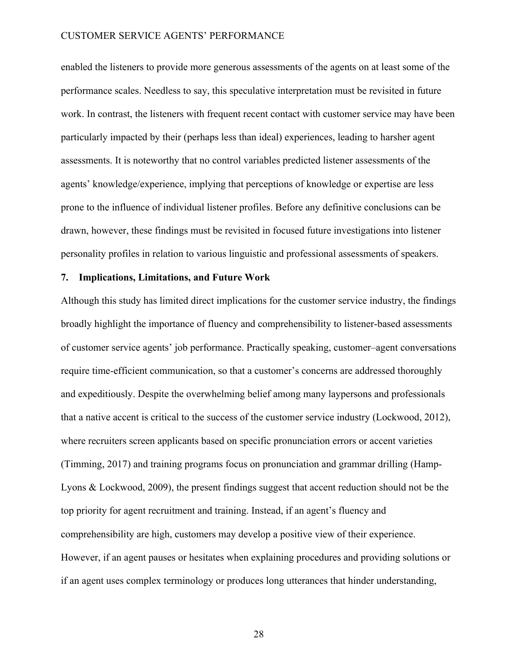enabled the listeners to provide more generous assessments of the agents on at least some of the performance scales. Needless to say, this speculative interpretation must be revisited in future work. In contrast, the listeners with frequent recent contact with customer service may have been particularly impacted by their (perhaps less than ideal) experiences, leading to harsher agent assessments. It is noteworthy that no control variables predicted listener assessments of the agents' knowledge/experience, implying that perceptions of knowledge or expertise are less prone to the influence of individual listener profiles. Before any definitive conclusions can be drawn, however, these findings must be revisited in focused future investigations into listener personality profiles in relation to various linguistic and professional assessments of speakers.

### **7. Implications, Limitations, and Future Work**

Although this study has limited direct implications for the customer service industry, the findings broadly highlight the importance of fluency and comprehensibility to listener-based assessments of customer service agents' job performance. Practically speaking, customer–agent conversations require time-efficient communication, so that a customer's concerns are addressed thoroughly and expeditiously. Despite the overwhelming belief among many laypersons and professionals that a native accent is critical to the success of the customer service industry (Lockwood, 2012), where recruiters screen applicants based on specific pronunciation errors or accent varieties (Timming, 2017) and training programs focus on pronunciation and grammar drilling (Hamp-Lyons & Lockwood, 2009), the present findings suggest that accent reduction should not be the top priority for agent recruitment and training. Instead, if an agent's fluency and comprehensibility are high, customers may develop a positive view of their experience. However, if an agent pauses or hesitates when explaining procedures and providing solutions or if an agent uses complex terminology or produces long utterances that hinder understanding,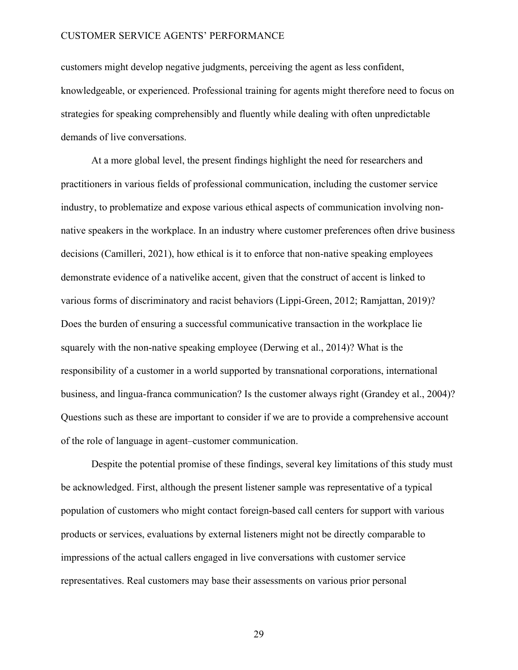customers might develop negative judgments, perceiving the agent as less confident, knowledgeable, or experienced. Professional training for agents might therefore need to focus on strategies for speaking comprehensibly and fluently while dealing with often unpredictable demands of live conversations.

At a more global level, the present findings highlight the need for researchers and practitioners in various fields of professional communication, including the customer service industry, to problematize and expose various ethical aspects of communication involving nonnative speakers in the workplace. In an industry where customer preferences often drive business decisions (Camilleri, 2021), how ethical is it to enforce that non-native speaking employees demonstrate evidence of a nativelike accent, given that the construct of accent is linked to various forms of discriminatory and racist behaviors (Lippi-Green, 2012; Ramjattan, 2019)? Does the burden of ensuring a successful communicative transaction in the workplace lie squarely with the non-native speaking employee (Derwing et al., 2014)? What is the responsibility of a customer in a world supported by transnational corporations, international business, and lingua-franca communication? Is the customer always right (Grandey et al., 2004)? Questions such as these are important to consider if we are to provide a comprehensive account of the role of language in agent–customer communication.

Despite the potential promise of these findings, several key limitations of this study must be acknowledged. First, although the present listener sample was representative of a typical population of customers who might contact foreign-based call centers for support with various products or services, evaluations by external listeners might not be directly comparable to impressions of the actual callers engaged in live conversations with customer service representatives. Real customers may base their assessments on various prior personal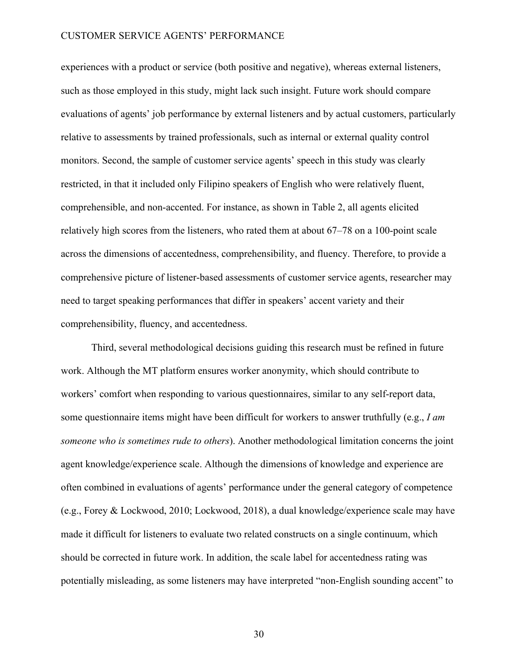experiences with a product or service (both positive and negative), whereas external listeners, such as those employed in this study, might lack such insight. Future work should compare evaluations of agents' job performance by external listeners and by actual customers, particularly relative to assessments by trained professionals, such as internal or external quality control monitors. Second, the sample of customer service agents' speech in this study was clearly restricted, in that it included only Filipino speakers of English who were relatively fluent, comprehensible, and non-accented. For instance, as shown in Table 2, all agents elicited relatively high scores from the listeners, who rated them at about 67–78 on a 100-point scale across the dimensions of accentedness, comprehensibility, and fluency. Therefore, to provide a comprehensive picture of listener-based assessments of customer service agents, researcher may need to target speaking performances that differ in speakers' accent variety and their comprehensibility, fluency, and accentedness.

Third, several methodological decisions guiding this research must be refined in future work. Although the MT platform ensures worker anonymity, which should contribute to workers' comfort when responding to various questionnaires, similar to any self-report data, some questionnaire items might have been difficult for workers to answer truthfully (e.g., *I am someone who is sometimes rude to others*). Another methodological limitation concerns the joint agent knowledge/experience scale. Although the dimensions of knowledge and experience are often combined in evaluations of agents' performance under the general category of competence (e.g., Forey & Lockwood, 2010; Lockwood, 2018), a dual knowledge/experience scale may have made it difficult for listeners to evaluate two related constructs on a single continuum, which should be corrected in future work. In addition, the scale label for accentedness rating was potentially misleading, as some listeners may have interpreted "non-English sounding accent" to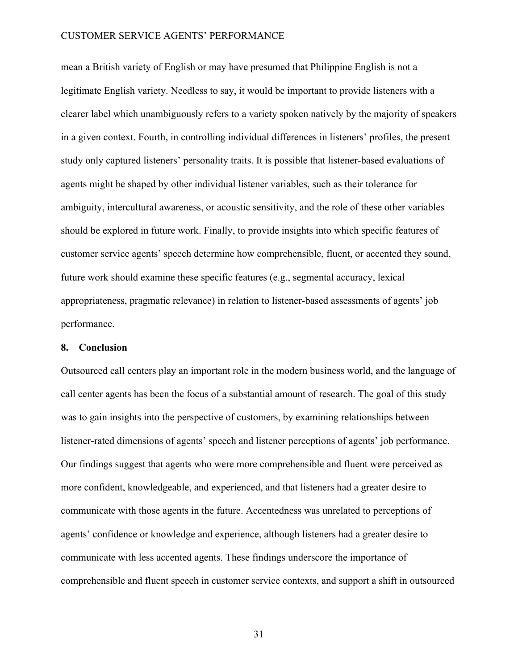mean a British variety of English or may have presumed that Philippine English is not a legitimate English variety. Needless to say, it would be important to provide listeners with a clearer label which unambiguously refers to a variety spoken natively by the majority of speakers in a given context. Fourth, in controlling individual differences in listeners' profiles, the present study only captured listeners' personality traits. It is possible that listener-based evaluations of agents might be shaped by other individual listener variables, such as their tolerance for ambiguity, intercultural awareness, or acoustic sensitivity, and the role of these other variables should be explored in future work. Finally, to provide insights into which specific features of customer service agents' speech determine how comprehensible, fluent, or accented they sound, future work should examine these specific features (e.g., segmental accuracy, lexical appropriateness, pragmatic relevance) in relation to listener-based assessments of agents' job performance.

### **8. Conclusion**

Outsourced call centers play an important role in the modern business world, and the language of call center agents has been the focus of a substantial amount of research. The goal of this study was to gain insights into the perspective of customers, by examining relationships between listener-rated dimensions of agents' speech and listener perceptions of agents' job performance. Our findings suggest that agents who were more comprehensible and fluent were perceived as more confident, knowledgeable, and experienced, and that listeners had a greater desire to communicate with those agents in the future. Accentedness was unrelated to perceptions of agents' confidence or knowledge and experience, although listeners had a greater desire to communicate with less accented agents. These findings underscore the importance of comprehensible and fluent speech in customer service contexts, and support a shift in outsourced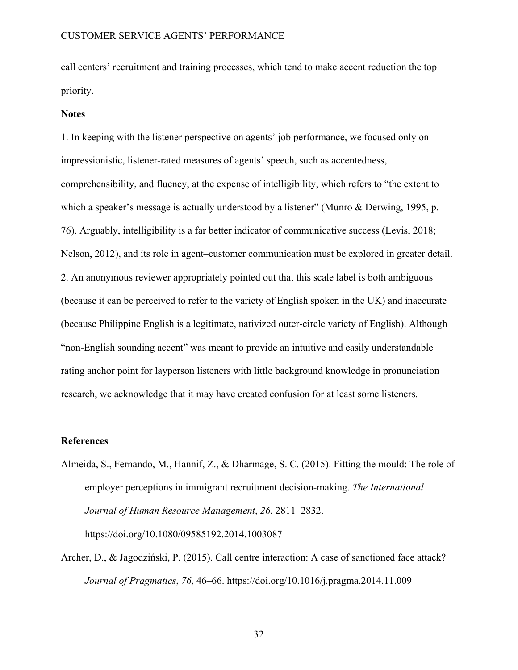call centers' recruitment and training processes, which tend to make accent reduction the top priority.

#### **Notes**

1. In keeping with the listener perspective on agents' job performance, we focused only on impressionistic, listener-rated measures of agents' speech, such as accentedness, comprehensibility, and fluency, at the expense of intelligibility, which refers to "the extent to which a speaker's message is actually understood by a listener" (Munro & Derwing, 1995, p. 76). Arguably, intelligibility is a far better indicator of communicative success (Levis, 2018; Nelson, 2012), and its role in agent–customer communication must be explored in greater detail. 2. An anonymous reviewer appropriately pointed out that this scale label is both ambiguous (because it can be perceived to refer to the variety of English spoken in the UK) and inaccurate (because Philippine English is a legitimate, nativized outer-circle variety of English). Although "non-English sounding accent" was meant to provide an intuitive and easily understandable rating anchor point for layperson listeners with little background knowledge in pronunciation research, we acknowledge that it may have created confusion for at least some listeners.

### **References**

- Almeida, S., Fernando, M., Hannif, Z., & Dharmage, S. C. (2015). Fitting the mould: The role of employer perceptions in immigrant recruitment decision-making. *The International Journal of Human Resource Management*, *26*, 2811–2832. https://doi.org/10.1080/09585192.2014.1003087
- Archer, D., & Jagodziński, P. (2015). Call centre interaction: A case of sanctioned face attack? *Journal of Pragmatics*, *76*, 46–66. https://doi.org/10.1016/j.pragma.2014.11.009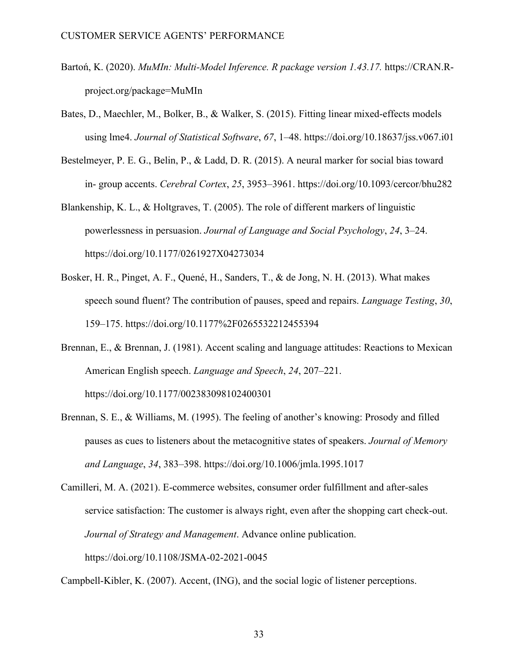- Bartoń, K. (2020). *MuMIn: Multi-Model Inference. R package version 1.43.17.* https://CRAN.Rproject.org/package=MuMIn
- Bates, D., Maechler, M., Bolker, B., & Walker, S. (2015). Fitting linear mixed-effects models using lme4. *Journal of Statistical Software*, *67*, 1–48. https://doi.org/10.18637/jss.v067.i01
- Bestelmeyer, P. E. G., Belin, P., & Ladd, D. R. (2015). A neural marker for social bias toward in- group accents. *Cerebral Cortex*, *25*, 3953–3961. https://doi.org/10.1093/cercor/bhu282
- Blankenship, K. L., & Holtgraves, T. (2005). The role of different markers of linguistic powerlessness in persuasion. *Journal of Language and Social Psychology*, *24*, 3–24. https://doi.org/10.1177/0261927X04273034
- Bosker, H. R., Pinget, A. F., Quené, H., Sanders, T., & de Jong, N. H. (2013). What makes speech sound fluent? The contribution of pauses, speed and repairs. *Language Testing*, *30*, 159–175. https://doi.org/10.1177%2F0265532212455394
- Brennan, E., & Brennan, J. (1981). Accent scaling and language attitudes: Reactions to Mexican American English speech. *Language and Speech*, *24*, 207–221. https://doi.org/10.1177/002383098102400301
- Brennan, S. E., & Williams, M. (1995). The feeling of another's knowing: Prosody and filled pauses as cues to listeners about the metacognitive states of speakers. *Journal of Memory and Language*, *34*, 383–398. https://doi.org/10.1006/jmla.1995.1017

Camilleri, M. A. (2021). E-commerce websites, consumer order fulfillment and after-sales service satisfaction: The customer is always right, even after the shopping cart check-out. *Journal of Strategy and Management*. Advance online publication. https://doi.org/10.1108/JSMA-02-2021-0045

Campbell-Kibler, K. (2007). Accent, (ING), and the social logic of listener perceptions.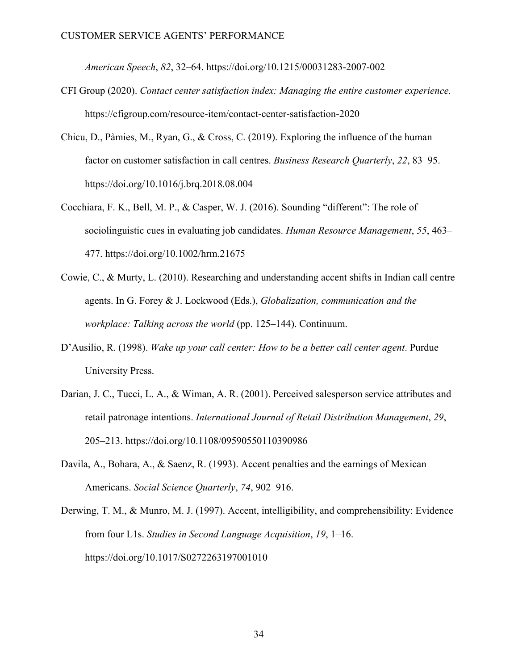*American Speech*, *82*, 32–64. https://doi.org/10.1215/00031283-2007-002

- CFI Group (2020). *Contact center satisfaction index: Managing the entire customer experience.*  https://cfigroup.com/resource-item/contact-center-satisfaction-2020
- Chicu, D., Pàmies, M., Ryan, G., & Cross, C. (2019). Exploring the influence of the human factor on customer satisfaction in call centres. *Business Research Quarterly*, *22*, 83–95. https://doi.org/10.1016/j.brq.2018.08.004
- Cocchiara, F. K., Bell, M. P., & Casper, W. J. (2016). Sounding "different": The role of sociolinguistic cues in evaluating job candidates. *Human Resource Management*, *55*, 463– 477. https://doi.org/10.1002/hrm.21675
- Cowie, C., & Murty, L. (2010). Researching and understanding accent shifts in Indian call centre agents. In G. Forey & J. Lockwood (Eds.), *Globalization, communication and the workplace: Talking across the world* (pp. 125–144). Continuum.
- D'Ausilio, R. (1998). *Wake up your call center: How to be a better call center agent*. Purdue University Press.
- Darian, J. C., Tucci, L. A., & Wiman, A. R. (2001). Perceived salesperson service attributes and retail patronage intentions. *International Journal of Retail Distribution Management*, *29*, 205–213. https://doi.org/10.1108/09590550110390986
- Davila, A., Bohara, A., & Saenz, R. (1993). Accent penalties and the earnings of Mexican Americans. *Social Science Quarterly*, *74*, 902–916.
- Derwing, T. M., & Munro, M. J. (1997). Accent, intelligibility, and comprehensibility: Evidence from four L1s. *Studies in Second Language Acquisition*, *19*, 1–16. https://doi.org/10.1017/S0272263197001010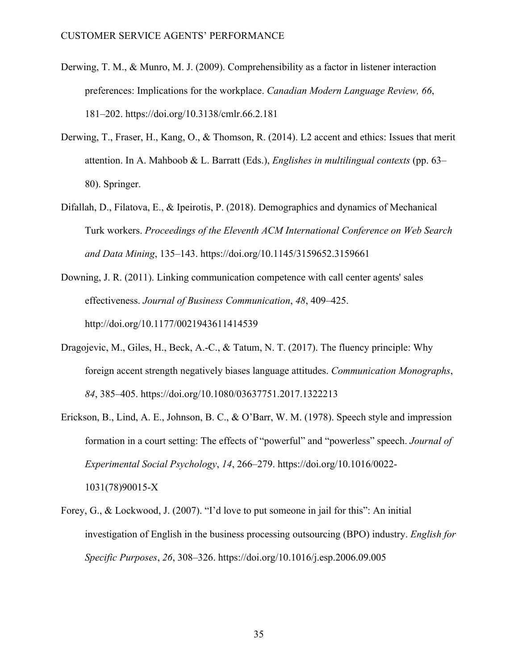- Derwing, T. M., & Munro, M. J. (2009). Comprehensibility as a factor in listener interaction preferences: Implications for the workplace. *Canadian Modern Language Review, 66*, 181–202. https://doi.org/10.3138/cmlr.66.2.181
- Derwing, T., Fraser, H., Kang, O., & Thomson, R. (2014). L2 accent and ethics: Issues that merit attention. In A. Mahboob & L. Barratt (Eds.), *Englishes in multilingual contexts* (pp. 63– 80). Springer.
- Difallah, D., Filatova, E., & Ipeirotis, P. (2018). Demographics and dynamics of Mechanical Turk workers. *Proceedings of the Eleventh ACM International Conference on Web Search and Data Mining*, 135–143. https://doi.org/10.1145/3159652.3159661
- Downing, J. R. (2011). Linking communication competence with call center agents' sales effectiveness. *Journal of Business Communication*, *48*, 409–425. http://doi.org/10.1177/0021943611414539
- Dragojevic, M., Giles, H., Beck, A.-C., & Tatum, N. T. (2017). The fluency principle: Why foreign accent strength negatively biases language attitudes. *Communication Monographs*, *84*, 385–405. https://doi.org/10.1080/03637751.2017.1322213
- Erickson, B., Lind, A. E., Johnson, B. C., & O'Barr, W. M. (1978). Speech style and impression formation in a court setting: The effects of "powerful" and "powerless" speech. *Journal of Experimental Social Psychology*, *14*, 266–279. https://doi.org/10.1016/0022- 1031(78)90015-X
- Forey, G., & Lockwood, J. (2007). "I'd love to put someone in jail for this": An initial investigation of English in the business processing outsourcing (BPO) industry. *English for Specific Purposes*, *26*, 308–326. https://doi.org/10.1016/j.esp.2006.09.005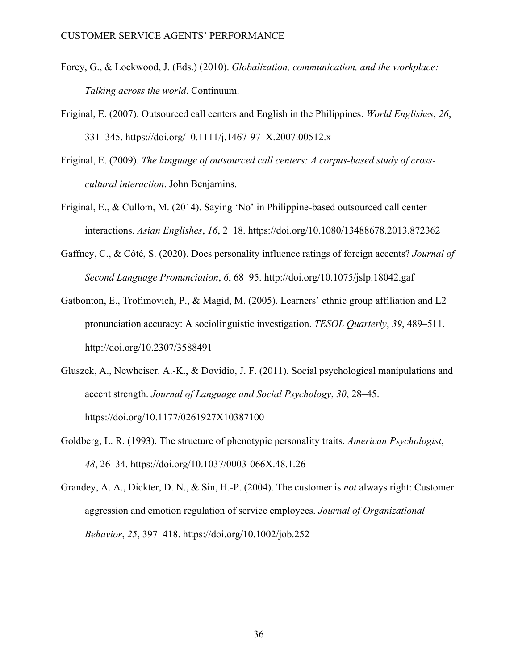- Forey, G., & Lockwood, J. (Eds.) (2010). *Globalization, communication, and the workplace: Talking across the world*. Continuum.
- Friginal, E. (2007). Outsourced call centers and English in the Philippines. *World Englishes*, *26*, 331–345. https://doi.org/10.1111/j.1467-971X.2007.00512.x
- Friginal, E. (2009). *The language of outsourced call centers: A corpus-based study of crosscultural interaction*. John Benjamins.
- Friginal, E., & Cullom, M. (2014). Saying 'No' in Philippine-based outsourced call center interactions. *Asian Englishes*, *16*, 2–18. https://doi.org/10.1080/13488678.2013.872362
- Gaffney, C., & Côté, S. (2020). Does personality influence ratings of foreign accents? *Journal of Second Language Pronunciation*, *6*, 68–95. http://doi.org/10.1075/jslp.18042.gaf
- Gatbonton, E., Trofimovich, P., & Magid, M. (2005). Learners' ethnic group affiliation and L2 pronunciation accuracy: A sociolinguistic investigation. *TESOL Quarterly*, *39*, 489–511. http://doi.org/10.2307/3588491
- Gluszek, A., Newheiser. A.-K., & Dovidio, J. F. (2011). Social psychological manipulations and accent strength. *Journal of Language and Social Psychology*, *30*, 28–45. https://doi.org/10.1177/0261927X10387100
- Goldberg, L. R. (1993). The structure of phenotypic personality traits. *American Psychologist*, *48*, 26–34. https://doi.org/10.1037/0003-066X.48.1.26
- Grandey, A. A., Dickter, D. N., & Sin, H.-P. (2004). The customer is *not* always right: Customer aggression and emotion regulation of service employees. *Journal of Organizational Behavior*, *25*, 397–418. https://doi.org/10.1002/job.252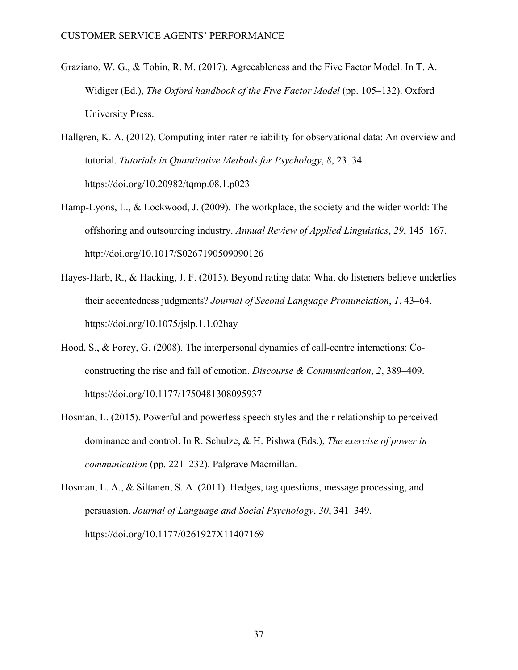- Graziano, W. G., & Tobin, R. M. (2017). Agreeableness and the Five Factor Model. In T. A. Widiger (Ed.), *The Oxford handbook of the Five Factor Model* (pp. 105–132). Oxford University Press.
- Hallgren, K. A. (2012). Computing inter-rater reliability for observational data: An overview and tutorial. *Tutorials in Quantitative Methods for Psychology*, *8*, 23–34. https://doi.org/10.20982/tqmp.08.1.p023
- Hamp-Lyons, L., & Lockwood, J. (2009). The workplace, the society and the wider world: The offshoring and outsourcing industry. *Annual Review of Applied Linguistics*, *29*, 145–167. http://doi.org/10.1017/S0267190509090126
- Hayes-Harb, R., & Hacking, J. F. (2015). Beyond rating data: What do listeners believe underlies their accentedness judgments? *Journal of Second Language Pronunciation*, *1*, 43–64. https://doi.org/10.1075/jslp.1.1.02hay
- Hood, S., & Forey, G. (2008). The interpersonal dynamics of call-centre interactions: Coconstructing the rise and fall of emotion. *Discourse & Communication*, *2*, 389–409. https://doi.org/10.1177/1750481308095937
- Hosman, L. (2015). Powerful and powerless speech styles and their relationship to perceived dominance and control. In R. Schulze, & H. Pishwa (Eds.), *The exercise of power in communication* (pp. 221–232). Palgrave Macmillan.
- Hosman, L. A., & Siltanen, S. A. (2011). Hedges, tag questions, message processing, and persuasion. *Journal of Language and Social Psychology*, *30*, 341–349. https://doi.org/10.1177/0261927X11407169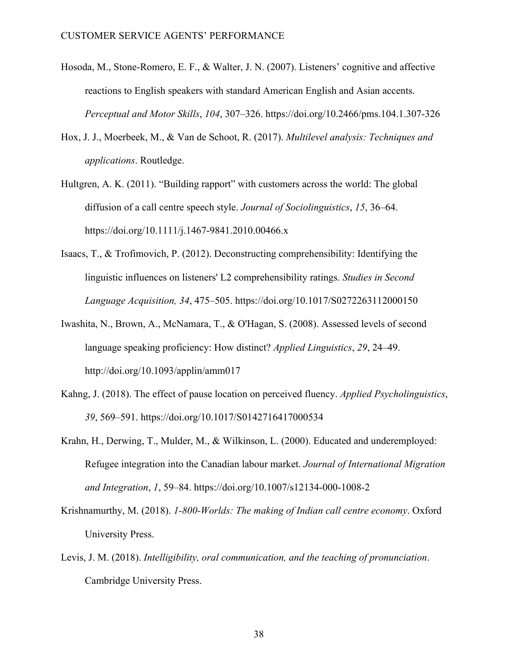- Hosoda, M., Stone-Romero, E. F., & Walter, J. N. (2007). Listeners' cognitive and affective reactions to English speakers with standard American English and Asian accents. *Perceptual and Motor Skills*, *104*, 307–326. https://doi.org/10.2466/pms.104.1.307-326
- Hox, J. J., Moerbeek, M., & Van de Schoot, R. (2017). *Multilevel analysis: Techniques and applications*. Routledge.
- Hultgren, A. K. (2011). "Building rapport" with customers across the world: The global diffusion of a call centre speech style. *Journal of Sociolinguistics*, *15*, 36–64. https://doi.org/10.1111/j.1467-9841.2010.00466.x
- Isaacs, T., & Trofimovich, P. (2012). Deconstructing comprehensibility: Identifying the linguistic influences on listeners' L2 comprehensibility ratings. *Studies in Second Language Acquisition, 34*, 475–505. https://doi.org/10.1017/S0272263112000150
- Iwashita, N., Brown, A., McNamara, T., & O'Hagan, S. (2008). Assessed levels of second language speaking proficiency: How distinct? *Applied Linguistics*, *29*, 24–49. http://doi.org/10.1093/applin/amm017
- Kahng, J. (2018). The effect of pause location on perceived fluency. *Applied Psycholinguistics*, *39*, 569–591. https://doi.org/10.1017/S0142716417000534
- Krahn, H., Derwing, T., Mulder, M., & Wilkinson, L. (2000). Educated and underemployed: Refugee integration into the Canadian labour market. *Journal of International Migration and Integration*, *1*, 59–84. https://doi.org/10.1007/s12134-000-1008-2
- Krishnamurthy, M. (2018). *1-800-Worlds: The making of Indian call centre economy*. Oxford University Press.
- Levis, J. M. (2018). *Intelligibility, oral communication, and the teaching of pronunciation*. Cambridge University Press.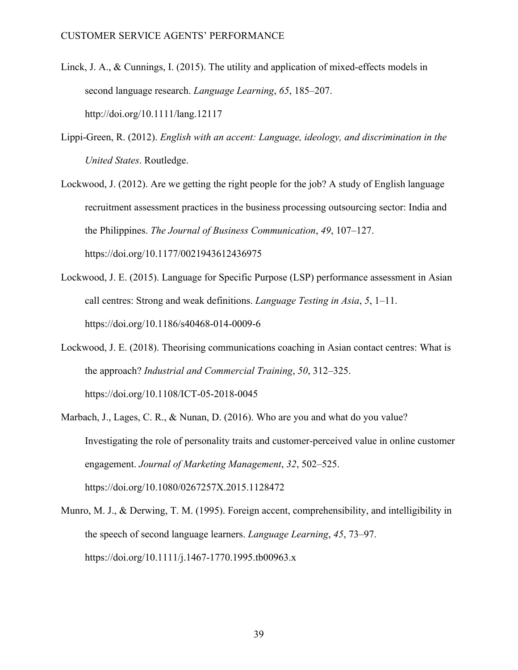- Linck, J. A., & Cunnings, I. (2015). The utility and application of mixed-effects models in second language research. *Language Learning*, *65*, 185–207. http://doi.org/10.1111/lang.12117
- Lippi-Green, R. (2012). *English with an accent: Language, ideology, and discrimination in the United States*. Routledge.
- Lockwood, J. (2012). Are we getting the right people for the job? A study of English language recruitment assessment practices in the business processing outsourcing sector: India and the Philippines. *The Journal of Business Communication*, *49*, 107–127. https://doi.org/10.1177/0021943612436975
- Lockwood, J. E. (2015). Language for Specific Purpose (LSP) performance assessment in Asian call centres: Strong and weak definitions. *Language Testing in Asia*, *5*, 1–11. https://doi.org/10.1186/s40468-014-0009-6
- Lockwood, J. E. (2018). Theorising communications coaching in Asian contact centres: What is the approach? *Industrial and Commercial Training*, *50*, 312–325. https://doi.org/10.1108/ICT-05-2018-0045
- Marbach, J., Lages, C. R., & Nunan, D. (2016). Who are you and what do you value? Investigating the role of personality traits and customer-perceived value in online customer engagement. *Journal of Marketing Management*, *32*, 502–525. https://doi.org/10.1080/0267257X.2015.1128472
- Munro, M. J., & Derwing, T. M. (1995). Foreign accent, comprehensibility, and intelligibility in the speech of second language learners. *Language Learning*, *45*, 73–97. https://doi.org/10.1111/j.1467-1770.1995.tb00963.x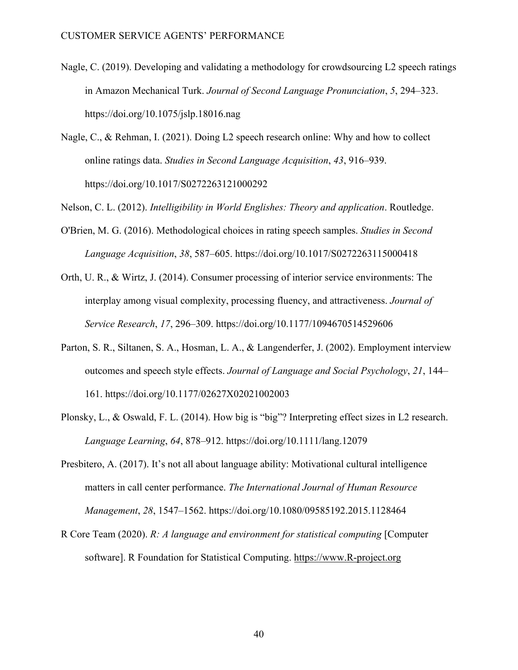- Nagle, C. (2019). Developing and validating a methodology for crowdsourcing L2 speech ratings in Amazon Mechanical Turk. *Journal of Second Language Pronunciation*, *5*, 294–323. https://doi.org/10.1075/jslp.18016.nag
- Nagle, C., & Rehman, I. (2021). Doing L2 speech research online: Why and how to collect online ratings data. *Studies in Second Language Acquisition*, *43*, 916–939. https://doi.org/10.1017/S0272263121000292

Nelson, C. L. (2012). *Intelligibility in World Englishes: Theory and application*. Routledge.

- O'Brien, M. G. (2016). Methodological choices in rating speech samples. *Studies in Second Language Acquisition*, *38*, 587–605. https://doi.org/10.1017/S0272263115000418
- Orth, U. R., & Wirtz, J. (2014). Consumer processing of interior service environments: The interplay among visual complexity, processing fluency, and attractiveness. *Journal of Service Research*, *17*, 296–309. https://doi.org/10.1177/1094670514529606
- Parton, S. R., Siltanen, S. A., Hosman, L. A., & Langenderfer, J. (2002). Employment interview outcomes and speech style effects. *Journal of Language and Social Psychology*, *21*, 144– 161. https://doi.org/10.1177/02627X02021002003
- Plonsky, L., & Oswald, F. L. (2014). How big is "big"? Interpreting effect sizes in L2 research. *Language Learning*, *64*, 878–912. https://doi.org/10.1111/lang.12079
- Presbitero, A. (2017). It's not all about language ability: Motivational cultural intelligence matters in call center performance. *The International Journal of Human Resource Management*, *28*, 1547–1562. https://doi.org/10.1080/09585192.2015.1128464
- R Core Team (2020). *R: A language and environment for statistical computing* [Computer software]. R Foundation for Statistical Computing. https://www.R-project.org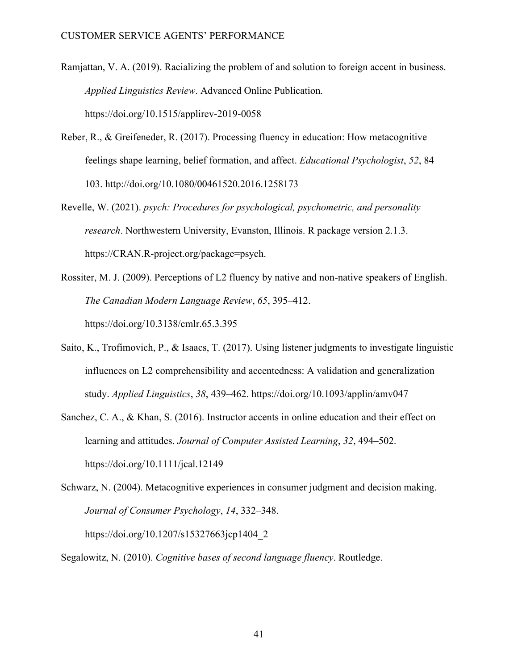- Ramjattan, V. A. (2019). Racializing the problem of and solution to foreign accent in business. *Applied Linguistics Review*. Advanced Online Publication. https://doi.org/10.1515/applirev-2019-0058
- Reber, R., & Greifeneder, R. (2017). Processing fluency in education: How metacognitive feelings shape learning, belief formation, and affect. *Educational Psychologist*, *52*, 84– 103. http://doi.org/10.1080/00461520.2016.1258173
- Revelle, W. (2021). *psych: Procedures for psychological, psychometric, and personality research*. Northwestern University, Evanston, Illinois. R package version 2.1.3. https://CRAN.R-project.org/package=psych.
- Rossiter, M. J. (2009). Perceptions of L2 fluency by native and non-native speakers of English. *The Canadian Modern Language Review*, *65*, 395–412. https://doi.org/10.3138/cmlr.65.3.395
- Saito, K., Trofimovich, P., & Isaacs, T. (2017). Using listener judgments to investigate linguistic influences on L2 comprehensibility and accentedness: A validation and generalization study. *Applied Linguistics*, *38*, 439–462. https://doi.org/10.1093/applin/amv047
- Sanchez, C. A., & Khan, S. (2016). Instructor accents in online education and their effect on learning and attitudes. *Journal of Computer Assisted Learning*, *32*, 494–502. https://doi.org/10.1111/jcal.12149
- Schwarz, N. (2004). Metacognitive experiences in consumer judgment and decision making. *Journal of Consumer Psychology*, *14*, 332–348. https://doi.org/10.1207/s15327663jcp1404\_2
- Segalowitz, N. (2010). *Cognitive bases of second language fluency*. Routledge.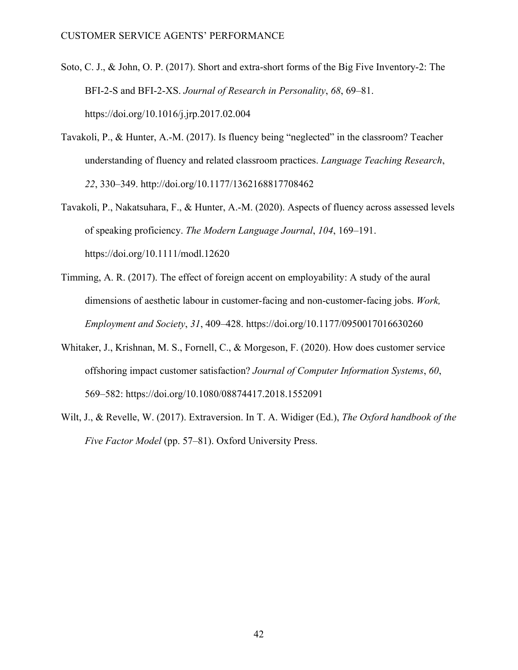- Soto, C. J., & John, O. P. (2017). Short and extra-short forms of the Big Five Inventory-2: The BFI-2-S and BFI-2-XS. *Journal of Research in Personality*, *68*, 69–81. https://doi.org/10.1016/j.jrp.2017.02.004
- Tavakoli, P., & Hunter, A.-M. (2017). Is fluency being "neglected" in the classroom? Teacher understanding of fluency and related classroom practices. *Language Teaching Research*, *22*, 330–349. http://doi.org/10.1177/1362168817708462
- Tavakoli, P., Nakatsuhara, F., & Hunter, A.-M. (2020). Aspects of fluency across assessed levels of speaking proficiency. *The Modern Language Journal*, *104*, 169–191. https://doi.org/10.1111/modl.12620
- Timming, A. R. (2017). The effect of foreign accent on employability: A study of the aural dimensions of aesthetic labour in customer-facing and non-customer-facing jobs. *Work, Employment and Society*, *31*, 409–428. https://doi.org/10.1177/0950017016630260
- Whitaker, J., Krishnan, M. S., Fornell, C., & Morgeson, F. (2020). How does customer service offshoring impact customer satisfaction? *Journal of Computer Information Systems*, *60*, 569–582: https://doi.org/10.1080/08874417.2018.1552091
- Wilt, J., & Revelle, W. (2017). Extraversion. In T. A. Widiger (Ed.), *The Oxford handbook of the Five Factor Model* (pp. 57–81). Oxford University Press.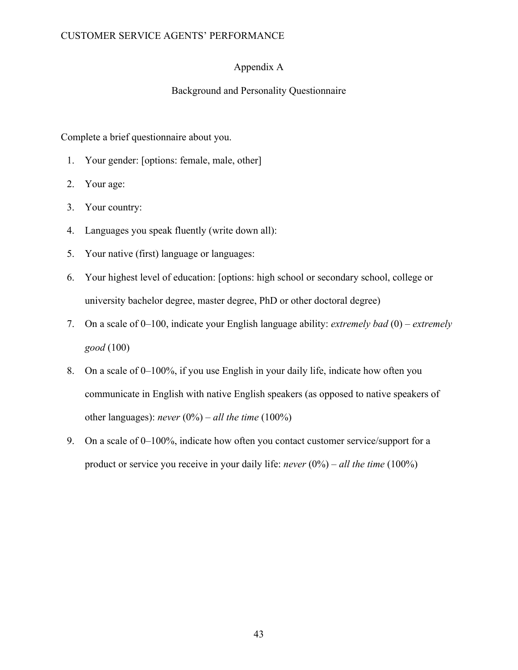# Appendix A

# Background and Personality Questionnaire

Complete a brief questionnaire about you.

- 1. Your gender: [options: female, male, other]
- 2. Your age:
- 3. Your country:
- 4. Languages you speak fluently (write down all):
- 5. Your native (first) language or languages:
- 6. Your highest level of education: [options: high school or secondary school, college or university bachelor degree, master degree, PhD or other doctoral degree)
- 7. On a scale of 0–100, indicate your English language ability: *extremely bad* (0) *extremely good* (100)
- 8. On a scale of 0–100%, if you use English in your daily life, indicate how often you communicate in English with native English speakers (as opposed to native speakers of other languages): *never* (0%) – *all the time* (100%)
- 9. On a scale of 0–100%, indicate how often you contact customer service/support for a product or service you receive in your daily life: *never* (0%) – *all the time* (100%)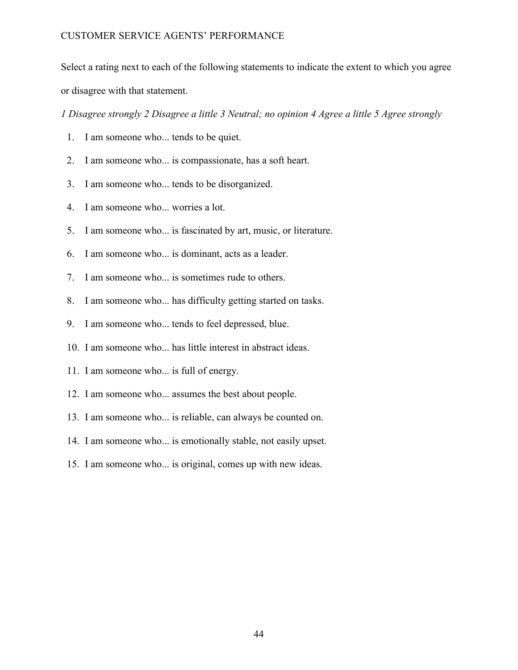Select a rating next to each of the following statements to indicate the extent to which you agree or disagree with that statement.

*1 Disagree strongly 2 Disagree a little 3 Neutral; no opinion 4 Agree a little 5 Agree strongly*

- 1. I am someone who... tends to be quiet.
- 2. I am someone who... is compassionate, has a soft heart.
- 3. I am someone who... tends to be disorganized.
- 4. I am someone who... worries a lot.
- 5. I am someone who... is fascinated by art, music, or literature.
- 6. I am someone who... is dominant, acts as a leader.
- 7. I am someone who... is sometimes rude to others.
- 8. I am someone who... has difficulty getting started on tasks.
- 9. I am someone who... tends to feel depressed, blue.
- 10. I am someone who... has little interest in abstract ideas.
- 11. I am someone who... is full of energy.
- 12. I am someone who... assumes the best about people.
- 13. I am someone who... is reliable, can always be counted on.
- 14. I am someone who... is emotionally stable, not easily upset.
- 15. I am someone who... is original, comes up with new ideas.